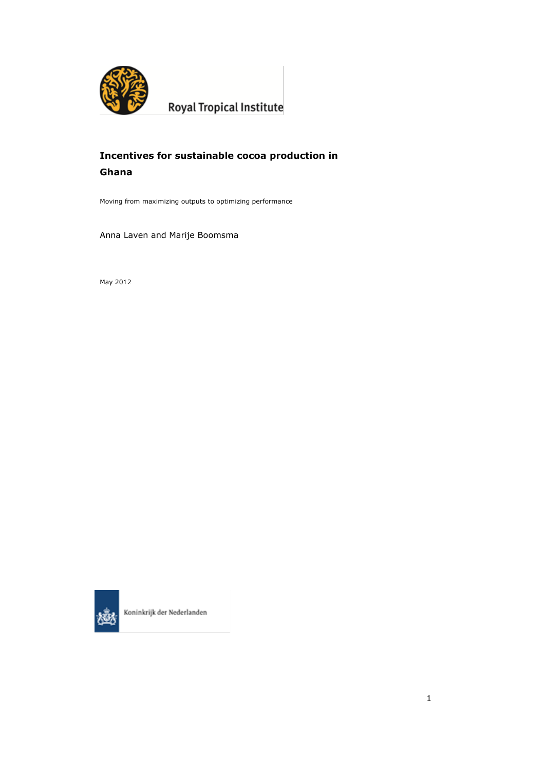

**Royal Tropical Institute** 

# **Incentives for sustainable cocoa production in Ghana**

Moving from maximizing outputs to optimizing performance

Anna Laven and Marije Boomsma

May 2012



Koninkrijk der Nederlanden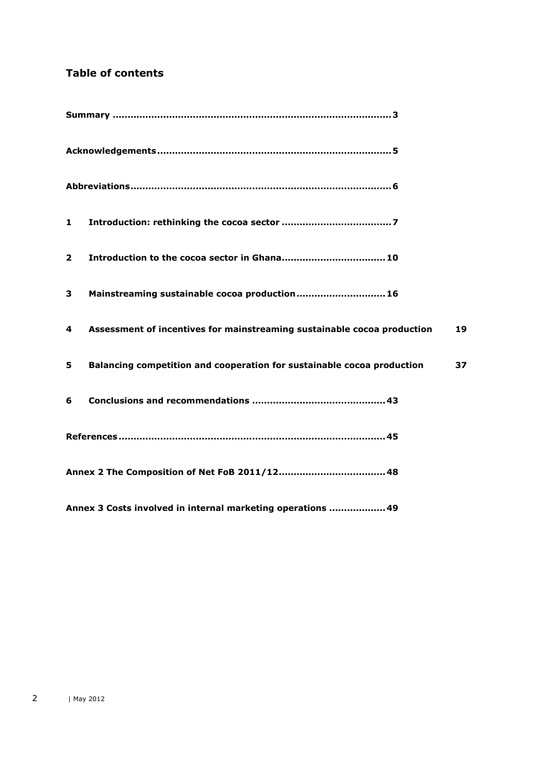# **Table of contents**

| 1              |                                                                         |    |
|----------------|-------------------------------------------------------------------------|----|
| $\overline{2}$ |                                                                         |    |
| 3              | Mainstreaming sustainable cocoa production 16                           |    |
| 4              | Assessment of incentives for mainstreaming sustainable cocoa production | 19 |
| 5.             | Balancing competition and cooperation for sustainable cocoa production  | 37 |
| 6              |                                                                         |    |
|                |                                                                         |    |
|                |                                                                         |    |
|                | Annex 3 Costs involved in internal marketing operations  49             |    |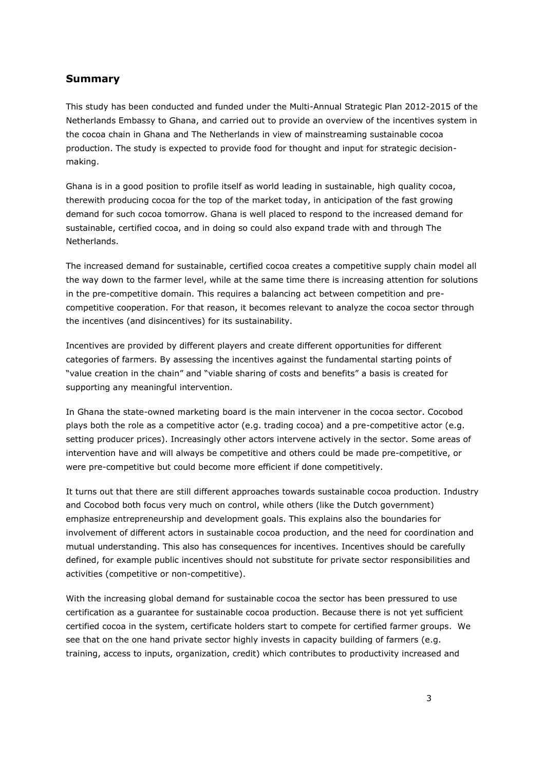## <span id="page-2-0"></span>**Summary**

This study has been conducted and funded under the Multi-Annual Strategic Plan 2012-2015 of the Netherlands Embassy to Ghana, and carried out to provide an overview of the incentives system in the cocoa chain in Ghana and The Netherlands in view of mainstreaming sustainable cocoa production. The study is expected to provide food for thought and input for strategic decisionmaking.

Ghana is in a good position to profile itself as world leading in sustainable, high quality cocoa, therewith producing cocoa for the top of the market today, in anticipation of the fast growing demand for such cocoa tomorrow. Ghana is well placed to respond to the increased demand for sustainable, certified cocoa, and in doing so could also expand trade with and through The Netherlands.

The increased demand for sustainable, certified cocoa creates a competitive supply chain model all the way down to the farmer level, while at the same time there is increasing attention for solutions in the pre-competitive domain. This requires a balancing act between competition and precompetitive cooperation. For that reason, it becomes relevant to analyze the cocoa sector through the incentives (and disincentives) for its sustainability.

Incentives are provided by different players and create different opportunities for different categories of farmers. By assessing the incentives against the fundamental starting points of "value creation in the chain" and "viable sharing of costs and benefits" a basis is created for supporting any meaningful intervention.

In Ghana the state-owned marketing board is the main intervener in the cocoa sector. Cocobod plays both the role as a competitive actor (e.g. trading cocoa) and a pre-competitive actor (e.g. setting producer prices). Increasingly other actors intervene actively in the sector. Some areas of intervention have and will always be competitive and others could be made pre-competitive, or were pre-competitive but could become more efficient if done competitively.

It turns out that there are still different approaches towards sustainable cocoa production. Industry and Cocobod both focus very much on control, while others (like the Dutch government) emphasize entrepreneurship and development goals. This explains also the boundaries for involvement of different actors in sustainable cocoa production, and the need for coordination and mutual understanding. This also has consequences for incentives. Incentives should be carefully defined, for example public incentives should not substitute for private sector responsibilities and activities (competitive or non-competitive).

With the increasing global demand for sustainable cocoa the sector has been pressured to use certification as a guarantee for sustainable cocoa production. Because there is not yet sufficient certified cocoa in the system, certificate holders start to compete for certified farmer groups. We see that on the one hand private sector highly invests in capacity building of farmers (e.g. training, access to inputs, organization, credit) which contributes to productivity increased and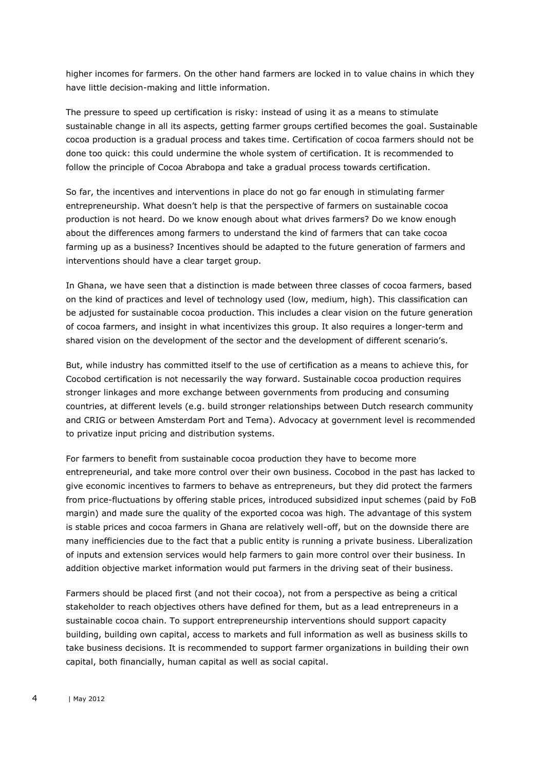higher incomes for farmers. On the other hand farmers are locked in to value chains in which they have little decision-making and little information.

The pressure to speed up certification is risky: instead of using it as a means to stimulate sustainable change in all its aspects, getting farmer groups certified becomes the goal. Sustainable cocoa production is a gradual process and takes time. Certification of cocoa farmers should not be done too quick: this could undermine the whole system of certification. It is recommended to follow the principle of Cocoa Abrabopa and take a gradual process towards certification.

So far, the incentives and interventions in place do not go far enough in stimulating farmer entrepreneurship. What doesn't help is that the perspective of farmers on sustainable cocoa production is not heard. Do we know enough about what drives farmers? Do we know enough about the differences among farmers to understand the kind of farmers that can take cocoa farming up as a business? Incentives should be adapted to the future generation of farmers and interventions should have a clear target group.

In Ghana, we have seen that a distinction is made between three classes of cocoa farmers, based on the kind of practices and level of technology used (low, medium, high). This classification can be adjusted for sustainable cocoa production. This includes a clear vision on the future generation of cocoa farmers, and insight in what incentivizes this group. It also requires a longer-term and shared vision on the development of the sector and the development of different scenario's.

But, while industry has committed itself to the use of certification as a means to achieve this, for Cocobod certification is not necessarily the way forward. Sustainable cocoa production requires stronger linkages and more exchange between governments from producing and consuming countries, at different levels (e.g. build stronger relationships between Dutch research community and CRIG or between Amsterdam Port and Tema). Advocacy at government level is recommended to privatize input pricing and distribution systems.

For farmers to benefit from sustainable cocoa production they have to become more entrepreneurial, and take more control over their own business. Cocobod in the past has lacked to give economic incentives to farmers to behave as entrepreneurs, but they did protect the farmers from price-fluctuations by offering stable prices, introduced subsidized input schemes (paid by FoB margin) and made sure the quality of the exported cocoa was high. The advantage of this system is stable prices and cocoa farmers in Ghana are relatively well-off, but on the downside there are many inefficiencies due to the fact that a public entity is running a private business. Liberalization of inputs and extension services would help farmers to gain more control over their business. In addition objective market information would put farmers in the driving seat of their business.

Farmers should be placed first (and not their cocoa), not from a perspective as being a critical stakeholder to reach objectives others have defined for them, but as a lead entrepreneurs in a sustainable cocoa chain. To support entrepreneurship interventions should support capacity building, building own capital, access to markets and full information as well as business skills to take business decisions. It is recommended to support farmer organizations in building their own capital, both financially, human capital as well as social capital.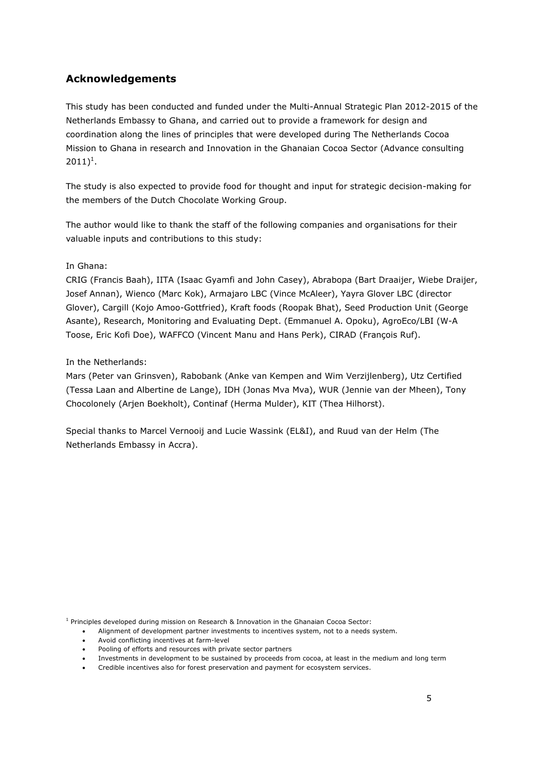## <span id="page-4-0"></span>**Acknowledgements**

This study has been conducted and funded under the Multi-Annual Strategic Plan 2012-2015 of the Netherlands Embassy to Ghana, and carried out to provide a framework for design and coordination along the lines of principles that were developed during The Netherlands Cocoa Mission to Ghana in research and Innovation in the Ghanaian Cocoa Sector (Advance consulting  $2011)^{1}$ .

The study is also expected to provide food for thought and input for strategic decision-making for the members of the Dutch Chocolate Working Group.

The author would like to thank the staff of the following companies and organisations for their valuable inputs and contributions to this study:

In Ghana:

CRIG (Francis Baah), IITA (Isaac Gyamfi and John Casey), Abrabopa (Bart Draaijer, Wiebe Draijer, Josef Annan), Wienco (Marc Kok), Armajaro LBC (Vince McAleer), Yayra Glover LBC (director Glover), Cargill (Kojo Amoo-Gottfried), Kraft foods (Roopak Bhat), Seed Production Unit (George Asante), Research, Monitoring and Evaluating Dept. (Emmanuel A. Opoku), AgroEco/LBI (W-A Toose, Eric Kofi Doe), WAFFCO (Vincent Manu and Hans Perk), CIRAD (François Ruf).

### In the Netherlands:

Mars (Peter van Grinsven), Rabobank (Anke van Kempen and Wim Verzijlenberg), Utz Certified (Tessa Laan and Albertine de Lange), IDH (Jonas Mva Mva), WUR (Jennie van der Mheen), Tony Chocolonely (Arjen Boekholt), Continaf (Herma Mulder), KIT (Thea Hilhorst).

Special thanks to Marcel Vernooij and Lucie Wassink (EL&I), and Ruud van der Helm (The Netherlands Embassy in Accra).

<sup>1</sup> Principles developed during mission on Research & Innovation in the Ghanaian Cocoa Sector:

- Alignment of development partner investments to incentives system, not to a needs system.
- Avoid conflicting incentives at farm-level
- Pooling of efforts and resources with private sector partners
- Investments in development to be sustained by proceeds from cocoa, at least in the medium and long term
- Credible incentives also for forest preservation and payment for ecosystem services.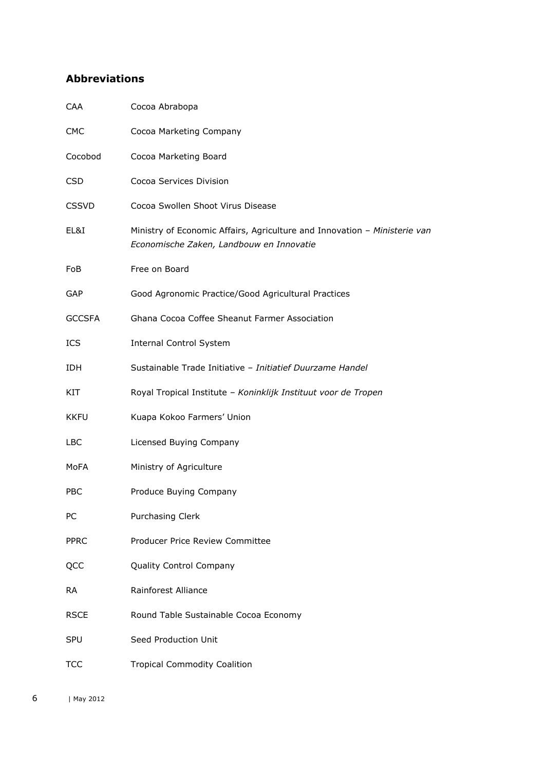# <span id="page-5-0"></span>**Abbreviations**

| CAA           | Cocoa Abrabopa                                                                                                        |
|---------------|-----------------------------------------------------------------------------------------------------------------------|
| <b>CMC</b>    | Cocoa Marketing Company                                                                                               |
| Cocobod       | Cocoa Marketing Board                                                                                                 |
| <b>CSD</b>    | Cocoa Services Division                                                                                               |
| <b>CSSVD</b>  | Cocoa Swollen Shoot Virus Disease                                                                                     |
| EL&I          | Ministry of Economic Affairs, Agriculture and Innovation - Ministerie van<br>Economische Zaken, Landbouw en Innovatie |
| FoB           | Free on Board                                                                                                         |
| <b>GAP</b>    | Good Agronomic Practice/Good Agricultural Practices                                                                   |
| <b>GCCSFA</b> | Ghana Cocoa Coffee Sheanut Farmer Association                                                                         |
| <b>ICS</b>    | <b>Internal Control System</b>                                                                                        |
| <b>IDH</b>    | Sustainable Trade Initiative - Initiatief Duurzame Handel                                                             |
| KIT           | Royal Tropical Institute - Koninklijk Instituut voor de Tropen                                                        |
| <b>KKFU</b>   | Kuapa Kokoo Farmers' Union                                                                                            |
| <b>LBC</b>    | Licensed Buying Company                                                                                               |
| MoFA          | Ministry of Agriculture                                                                                               |
| <b>PBC</b>    | Produce Buying Company                                                                                                |
| PС            | <b>Purchasing Clerk</b>                                                                                               |
| <b>PPRC</b>   | Producer Price Review Committee                                                                                       |
| QCC           | Quality Control Company                                                                                               |
| <b>RA</b>     | Rainforest Alliance                                                                                                   |
| <b>RSCE</b>   | Round Table Sustainable Cocoa Economy                                                                                 |
| <b>SPU</b>    | Seed Production Unit                                                                                                  |
| TCC           | <b>Tropical Commodity Coalition</b>                                                                                   |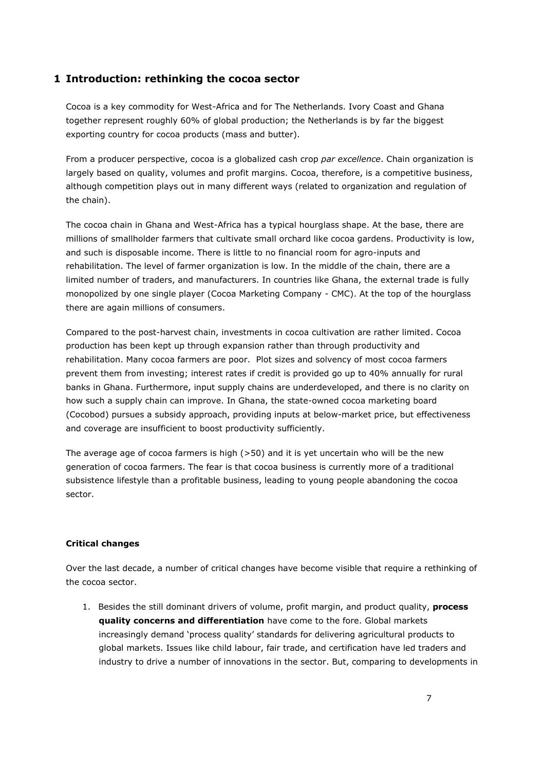## <span id="page-6-0"></span>**1 Introduction: rethinking the cocoa sector**

Cocoa is a key commodity for West-Africa and for The Netherlands. Ivory Coast and Ghana together represent roughly 60% of global production; the Netherlands is by far the biggest exporting country for cocoa products (mass and butter).

From a producer perspective, cocoa is a globalized cash crop *par excellence*. Chain organization is largely based on quality, volumes and profit margins. Cocoa, therefore, is a competitive business, although competition plays out in many different ways (related to organization and regulation of the chain).

The cocoa chain in Ghana and West-Africa has a typical hourglass shape. At the base, there are millions of smallholder farmers that cultivate small orchard like cocoa gardens. Productivity is low, and such is disposable income. There is little to no financial room for agro-inputs and rehabilitation. The level of farmer organization is low. In the middle of the chain, there are a limited number of traders, and manufacturers. In countries like Ghana, the external trade is fully monopolized by one single player (Cocoa Marketing Company - CMC). At the top of the hourglass there are again millions of consumers.

Compared to the post-harvest chain, investments in cocoa cultivation are rather limited. Cocoa production has been kept up through expansion rather than through productivity and rehabilitation. Many cocoa farmers are poor. Plot sizes and solvency of most cocoa farmers prevent them from investing; interest rates if credit is provided go up to 40% annually for rural banks in Ghana. Furthermore, input supply chains are underdeveloped, and there is no clarity on how such a supply chain can improve. In Ghana, the state-owned cocoa marketing board (Cocobod) pursues a subsidy approach, providing inputs at below-market price, but effectiveness and coverage are insufficient to boost productivity sufficiently.

The average age of cocoa farmers is high  $(>50)$  and it is yet uncertain who will be the new generation of cocoa farmers. The fear is that cocoa business is currently more of a traditional subsistence lifestyle than a profitable business, leading to young people abandoning the cocoa sector.

### **Critical changes**

Over the last decade, a number of critical changes have become visible that require a rethinking of the cocoa sector.

1. Besides the still dominant drivers of volume, profit margin, and product quality, **process quality concerns and differentiation** have come to the fore. Global markets increasingly demand 'process quality' standards for delivering agricultural products to global markets. Issues like child labour, fair trade, and certification have led traders and industry to drive a number of innovations in the sector. But, comparing to developments in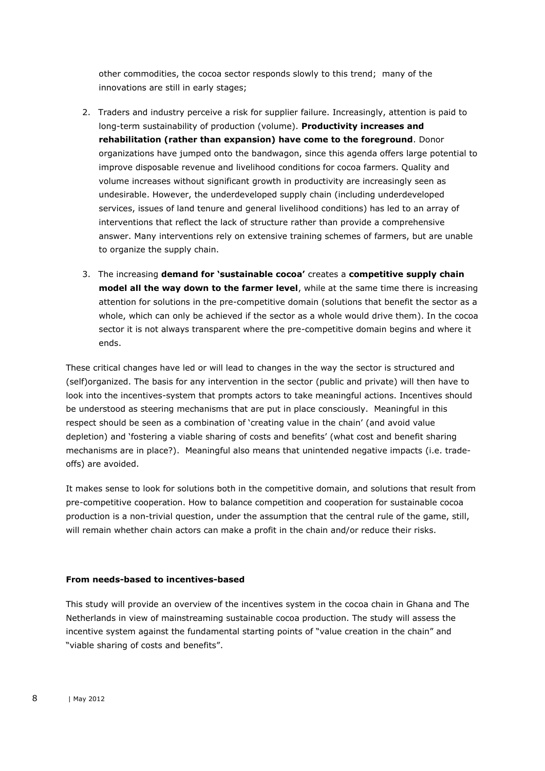other commodities, the cocoa sector responds slowly to this trend; many of the innovations are still in early stages;

- 2. Traders and industry perceive a risk for supplier failure. Increasingly, attention is paid to long-term sustainability of production (volume). **Productivity increases and rehabilitation (rather than expansion) have come to the foreground**. Donor organizations have jumped onto the bandwagon, since this agenda offers large potential to improve disposable revenue and livelihood conditions for cocoa farmers. Quality and volume increases without significant growth in productivity are increasingly seen as undesirable. However, the underdeveloped supply chain (including underdeveloped services, issues of land tenure and general livelihood conditions) has led to an array of interventions that reflect the lack of structure rather than provide a comprehensive answer. Many interventions rely on extensive training schemes of farmers, but are unable to organize the supply chain.
- 3. The increasing **demand for 'sustainable cocoa'** creates a **competitive supply chain model all the way down to the farmer level**, while at the same time there is increasing attention for solutions in the pre-competitive domain (solutions that benefit the sector as a whole, which can only be achieved if the sector as a whole would drive them). In the cocoa sector it is not always transparent where the pre-competitive domain begins and where it ends.

These critical changes have led or will lead to changes in the way the sector is structured and (self)organized. The basis for any intervention in the sector (public and private) will then have to look into the incentives-system that prompts actors to take meaningful actions. Incentives should be understood as steering mechanisms that are put in place consciously. Meaningful in this respect should be seen as a combination of 'creating value in the chain' (and avoid value depletion) and 'fostering a viable sharing of costs and benefits' (what cost and benefit sharing mechanisms are in place?). Meaningful also means that unintended negative impacts (i.e. tradeoffs) are avoided.

It makes sense to look for solutions both in the competitive domain, and solutions that result from pre-competitive cooperation. How to balance competition and cooperation for sustainable cocoa production is a non-trivial question, under the assumption that the central rule of the game, still, will remain whether chain actors can make a profit in the chain and/or reduce their risks.

#### **From needs-based to incentives-based**

This study will provide an overview of the incentives system in the cocoa chain in Ghana and The Netherlands in view of mainstreaming sustainable cocoa production. The study will assess the incentive system against the fundamental starting points of "value creation in the chain" and "viable sharing of costs and benefits".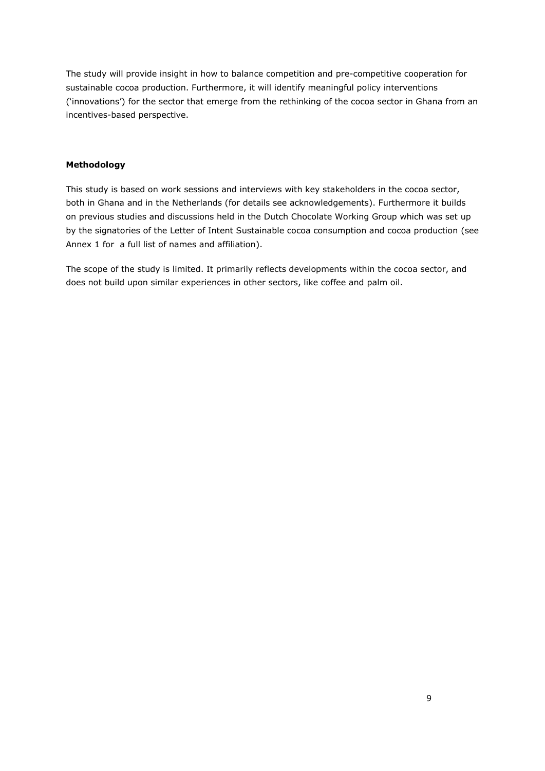The study will provide insight in how to balance competition and pre-competitive cooperation for sustainable cocoa production. Furthermore, it will identify meaningful policy interventions ('innovations') for the sector that emerge from the rethinking of the cocoa sector in Ghana from an incentives-based perspective.

#### **Methodology**

This study is based on work sessions and interviews with key stakeholders in the cocoa sector, both in Ghana and in the Netherlands (for details see acknowledgements). Furthermore it builds on previous studies and discussions held in the Dutch Chocolate Working Group which was set up by the signatories of the Letter of Intent Sustainable cocoa consumption and cocoa production (see Annex 1 for a full list of names and affiliation).

The scope of the study is limited. It primarily reflects developments within the cocoa sector, and does not build upon similar experiences in other sectors, like coffee and palm oil.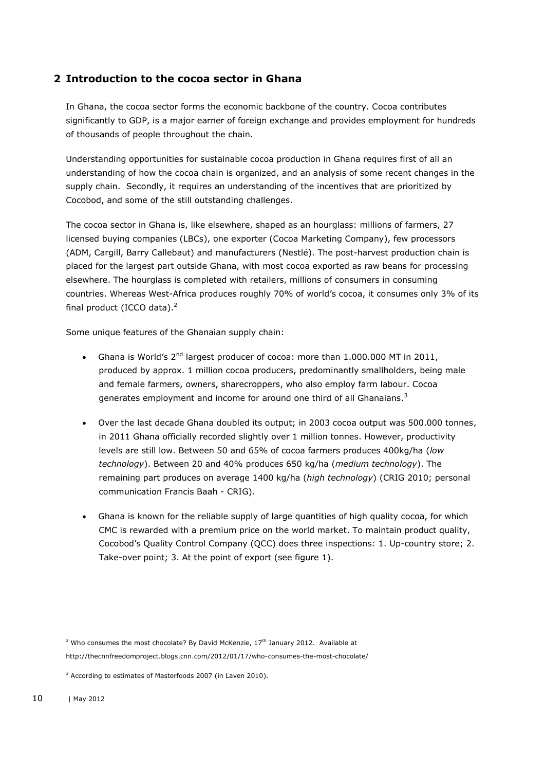## <span id="page-9-0"></span>**2 Introduction to the cocoa sector in Ghana**

In Ghana, the cocoa sector forms the economic backbone of the country. Cocoa contributes significantly to GDP, is a major earner of foreign exchange and provides employment for hundreds of thousands of people throughout the chain.

Understanding opportunities for sustainable cocoa production in Ghana requires first of all an understanding of how the cocoa chain is organized, and an analysis of some recent changes in the supply chain. Secondly, it requires an understanding of the incentives that are prioritized by Cocobod, and some of the still outstanding challenges.

The cocoa sector in Ghana is, like elsewhere, shaped as an hourglass: millions of farmers, 27 licensed buying companies (LBCs), one exporter (Cocoa Marketing Company), few processors (ADM, Cargill, Barry Callebaut) and manufacturers (Nestlé). The post-harvest production chain is placed for the largest part outside Ghana, with most cocoa exported as raw beans for processing elsewhere. The hourglass is completed with retailers, millions of consumers in consuming countries. Whereas West-Africa produces roughly 70% of world's cocoa, it consumes only 3% of its final product (ICCO data). $<sup>2</sup>$ </sup>

Some unique features of the Ghanaian supply chain:

- Ghana is World's  $2^{nd}$  largest producer of cocoa: more than 1.000.000 MT in 2011, produced by approx. 1 million cocoa producers, predominantly smallholders, being male and female farmers, owners, sharecroppers, who also employ farm labour. Cocoa generates employment and income for around one third of all Ghanaians. $3$
- Over the last decade Ghana doubled its output; in 2003 cocoa output was 500.000 tonnes, in 2011 Ghana officially recorded slightly over 1 million tonnes. However, productivity levels are still low. Between 50 and 65% of cocoa farmers produces 400kg/ha (*low technology*). Between 20 and 40% produces 650 kg/ha (*medium technology*). The remaining part produces on average 1400 kg/ha (*high technology*) (CRIG 2010; personal communication Francis Baah - CRIG).
- Ghana is known for the reliable supply of large quantities of high quality cocoa, for which CMC is rewarded with a premium price on the world market. To maintain product quality, Cocobod's Quality Control Company (QCC) does three inspections: 1. Up-country store; 2. Take-over point; 3. At the point of export (see figure 1).

<sup>2</sup> Who consumes the most chocolate? By David McKenzie,  $17<sup>th</sup>$  January 2012. Available at http://thecnnfreedomproject.blogs.cnn.com/2012/01/17/who-consumes-the-most-chocolate/

<sup>3</sup> According to estimates of Masterfoods 2007 (in Laven 2010).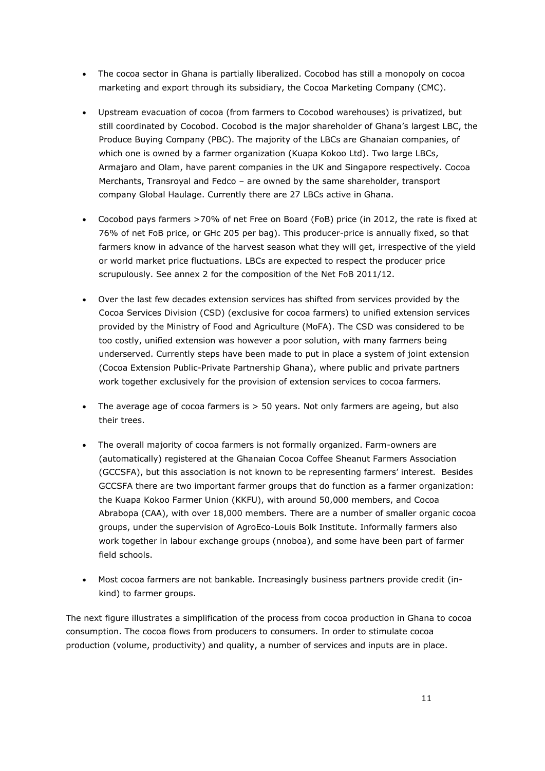- The cocoa sector in Ghana is partially liberalized. Cocobod has still a monopoly on cocoa marketing and export through its subsidiary, the Cocoa Marketing Company (CMC).
- Upstream evacuation of cocoa (from farmers to Cocobod warehouses) is privatized, but still coordinated by Cocobod. Cocobod is the major shareholder of Ghana's largest LBC, the Produce Buying Company (PBC). The majority of the LBCs are Ghanaian companies, of which one is owned by a farmer organization (Kuapa Kokoo Ltd). Two large LBCs, Armajaro and Olam, have parent companies in the UK and Singapore respectively. Cocoa Merchants, Transroyal and Fedco – are owned by the same shareholder, transport company Global Haulage. Currently there are 27 LBCs active in Ghana.
- Cocobod pays farmers >70% of net Free on Board (FoB) price (in 2012, the rate is fixed at 76% of net FoB price, or GHc 205 per bag). This producer-price is annually fixed, so that farmers know in advance of the harvest season what they will get, irrespective of the yield or world market price fluctuations. LBCs are expected to respect the producer price scrupulously. See annex 2 for the composition of the Net FoB 2011/12.
- Over the last few decades extension services has shifted from services provided by the Cocoa Services Division (CSD) (exclusive for cocoa farmers) to unified extension services provided by the Ministry of Food and Agriculture (MoFA). The CSD was considered to be too costly, unified extension was however a poor solution, with many farmers being underserved. Currently steps have been made to put in place a system of joint extension (Cocoa Extension Public-Private Partnership Ghana), where public and private partners work together exclusively for the provision of extension services to cocoa farmers.
- $\bullet$  The average age of cocoa farmers is  $>$  50 years. Not only farmers are ageing, but also their trees.
- The overall majority of cocoa farmers is not formally organized. Farm-owners are (automatically) registered at the Ghanaian Cocoa Coffee Sheanut Farmers Association (GCCSFA), but this association is not known to be representing farmers' interest. Besides GCCSFA there are two important farmer groups that do function as a farmer organization: the Kuapa Kokoo Farmer Union (KKFU), with around 50,000 members, and Cocoa Abrabopa (CAA), with over 18,000 members. There are a number of smaller organic cocoa groups, under the supervision of AgroEco-Louis Bolk Institute. Informally farmers also work together in labour exchange groups (nnoboa), and some have been part of farmer field schools.
- Most cocoa farmers are not bankable. Increasingly business partners provide credit (inkind) to farmer groups.

The next figure illustrates a simplification of the process from cocoa production in Ghana to cocoa consumption. The cocoa flows from producers to consumers. In order to stimulate cocoa production (volume, productivity) and quality, a number of services and inputs are in place.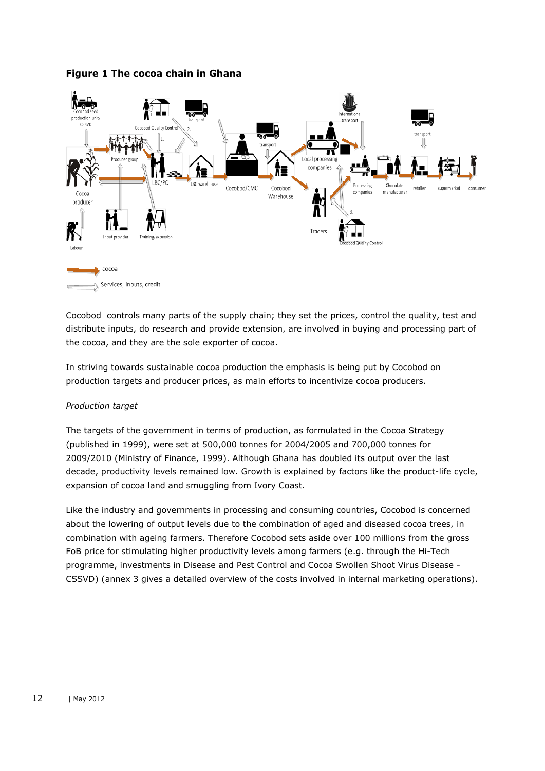### **Figure 1 The cocoa chain in Ghana**



 $\Rightarrow$  Services, inputs, credit

Cocobod controls many parts of the supply chain; they set the prices, control the quality, test and distribute inputs, do research and provide extension, are involved in buying and processing part of the cocoa, and they are the sole exporter of cocoa.

In striving towards sustainable cocoa production the emphasis is being put by Cocobod on production targets and producer prices, as main efforts to incentivize cocoa producers.

#### *Production target*

The targets of the government in terms of production, as formulated in the Cocoa Strategy (published in 1999), were set at 500,000 tonnes for 2004/2005 and 700,000 tonnes for 2009/2010 (Ministry of Finance, 1999). Although Ghana has doubled its output over the last decade, productivity levels remained low. Growth is explained by factors like the product-life cycle, expansion of cocoa land and smuggling from Ivory Coast.

Like the industry and governments in processing and consuming countries, Cocobod is concerned about the lowering of output levels due to the combination of aged and diseased cocoa trees, in combination with ageing farmers. Therefore Cocobod sets aside over 100 million\$ from the gross FoB price for stimulating higher productivity levels among farmers (e.g. through the Hi-Tech programme, investments in Disease and Pest Control and Cocoa Swollen Shoot Virus Disease - CSSVD) (annex 3 gives a detailed overview of the costs involved in internal marketing operations).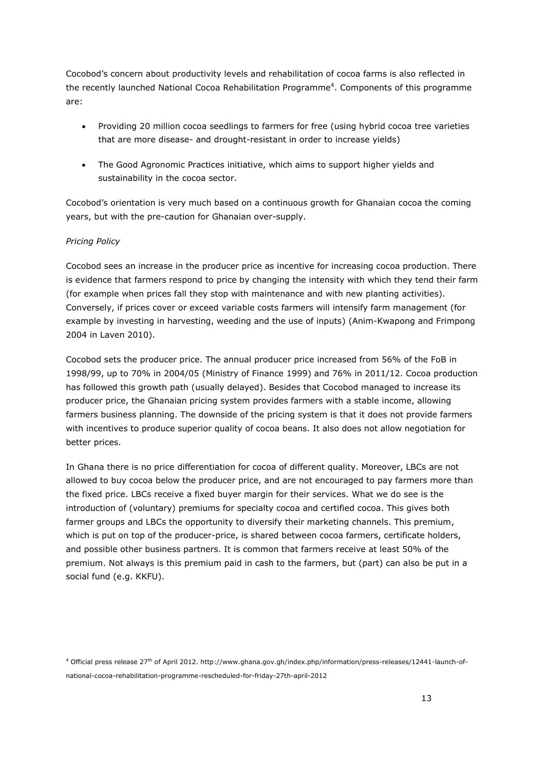Cocobod's concern about productivity levels and rehabilitation of cocoa farms is also reflected in the recently launched National Cocoa Rehabilitation Programme<sup>4</sup>. Components of this programme are:

- Providing 20 million cocoa seedlings to farmers for free (using hybrid cocoa tree varieties that are more disease- and drought-resistant in order to increase yields)
- The Good Agronomic Practices initiative, which aims to support higher yields and sustainability in the cocoa sector.

Cocobod's orientation is very much based on a continuous growth for Ghanaian cocoa the coming years, but with the pre-caution for Ghanaian over-supply.

#### *Pricing Policy*

Cocobod sees an increase in the producer price as incentive for increasing cocoa production. There is evidence that farmers respond to price by changing the intensity with which they tend their farm (for example when prices fall they stop with maintenance and with new planting activities). Conversely, if prices cover or exceed variable costs farmers will intensify farm management (for example by investing in harvesting, weeding and the use of inputs) (Anim-Kwapong and Frimpong 2004 in Laven 2010).

Cocobod sets the producer price. The annual producer price increased from 56% of the FoB in 1998/99, up to 70% in 2004/05 (Ministry of Finance 1999) and 76% in 2011/12. Cocoa production has followed this growth path (usually delayed). Besides that Cocobod managed to increase its producer price, the Ghanaian pricing system provides farmers with a stable income, allowing farmers business planning. The downside of the pricing system is that it does not provide farmers with incentives to produce superior quality of cocoa beans. It also does not allow negotiation for better prices.

In Ghana there is no price differentiation for cocoa of different quality. Moreover, LBCs are not allowed to buy cocoa below the producer price, and are not encouraged to pay farmers more than the fixed price. LBCs receive a fixed buyer margin for their services. What we do see is the introduction of (voluntary) premiums for specialty cocoa and certified cocoa. This gives both farmer groups and LBCs the opportunity to diversify their marketing channels. This premium, which is put on top of the producer-price, is shared between cocoa farmers, certificate holders, and possible other business partners. It is common that farmers receive at least 50% of the premium. Not always is this premium paid in cash to the farmers, but (part) can also be put in a social fund (e.g. KKFU).

<sup>4</sup> Official press release 27th of April 2012. http://www.ghana.gov.gh/index.php/information/press-releases/12441-launch-ofnational-cocoa-rehabilitation-programme-rescheduled-for-friday-27th-april-2012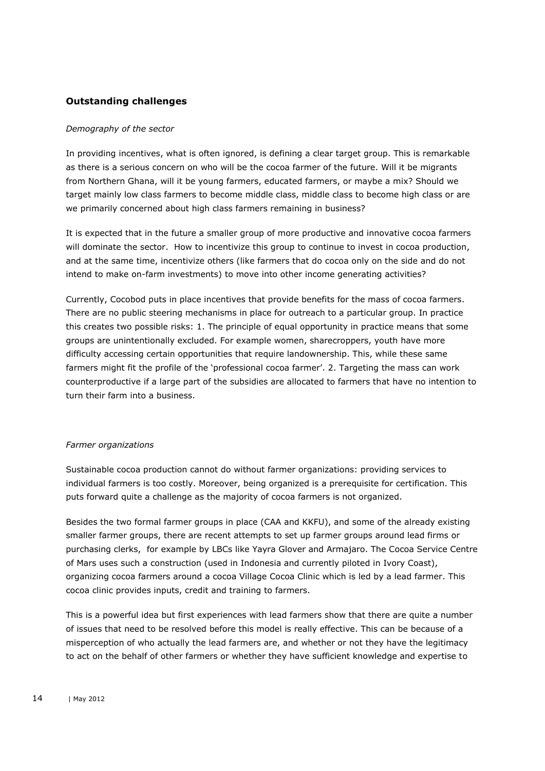## **Outstanding challenges**

#### *Demography of the sector*

In providing incentives, what is often ignored, is defining a clear target group. This is remarkable as there is a serious concern on who will be the cocoa farmer of the future. Will it be migrants from Northern Ghana, will it be young farmers, educated farmers, or maybe a mix? Should we target mainly low class farmers to become middle class, middle class to become high class or are we primarily concerned about high class farmers remaining in business?

It is expected that in the future a smaller group of more productive and innovative cocoa farmers will dominate the sector. How to incentivize this group to continue to invest in cocoa production, and at the same time, incentivize others (like farmers that do cocoa only on the side and do not intend to make on-farm investments) to move into other income generating activities?

Currently, Cocobod puts in place incentives that provide benefits for the mass of cocoa farmers. There are no public steering mechanisms in place for outreach to a particular group. In practice this creates two possible risks: 1. The principle of equal opportunity in practice means that some groups are unintentionally excluded. For example women, sharecroppers, youth have more difficulty accessing certain opportunities that require landownership. This, while these same farmers might fit the profile of the 'professional cocoa farmer'. 2. Targeting the mass can work counterproductive if a large part of the subsidies are allocated to farmers that have no intention to turn their farm into a business.

#### *Farmer organizations*

Sustainable cocoa production cannot do without farmer organizations: providing services to individual farmers is too costly. Moreover, being organized is a prerequisite for certification. This puts forward quite a challenge as the majority of cocoa farmers is not organized.

Besides the two formal farmer groups in place (CAA and KKFU), and some of the already existing smaller farmer groups, there are recent attempts to set up farmer groups around lead firms or purchasing clerks, for example by LBCs like Yayra Glover and Armajaro. The Cocoa Service Centre of Mars uses such a construction (used in Indonesia and currently piloted in Ivory Coast), organizing cocoa farmers around a cocoa Village Cocoa Clinic which is led by a lead farmer. This cocoa clinic provides inputs, credit and training to farmers.

This is a powerful idea but first experiences with lead farmers show that there are quite a number of issues that need to be resolved before this model is really effective. This can be because of a misperception of who actually the lead farmers are, and whether or not they have the legitimacy to act on the behalf of other farmers or whether they have sufficient knowledge and expertise to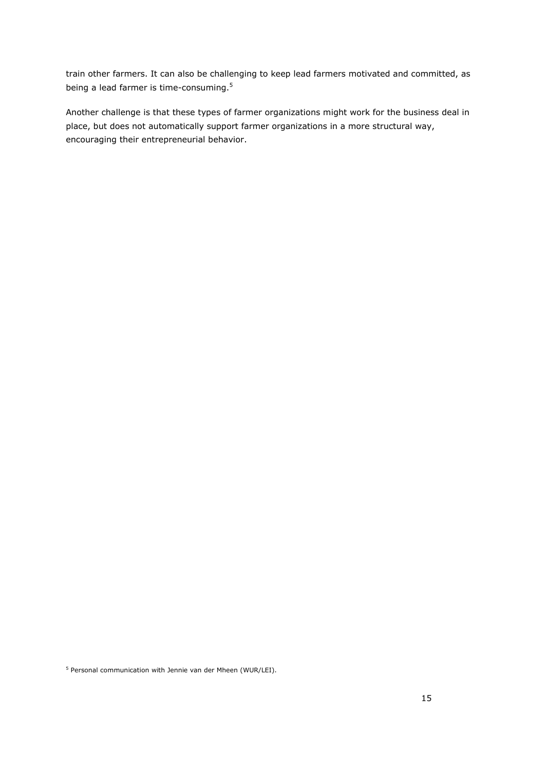train other farmers. It can also be challenging to keep lead farmers motivated and committed, as being a lead farmer is time-consuming.<sup>5</sup>

Another challenge is that these types of farmer organizations might work for the business deal in place, but does not automatically support farmer organizations in a more structural way, encouraging their entrepreneurial behavior.

<sup>5</sup> Personal communication with Jennie van der Mheen (WUR/LEI).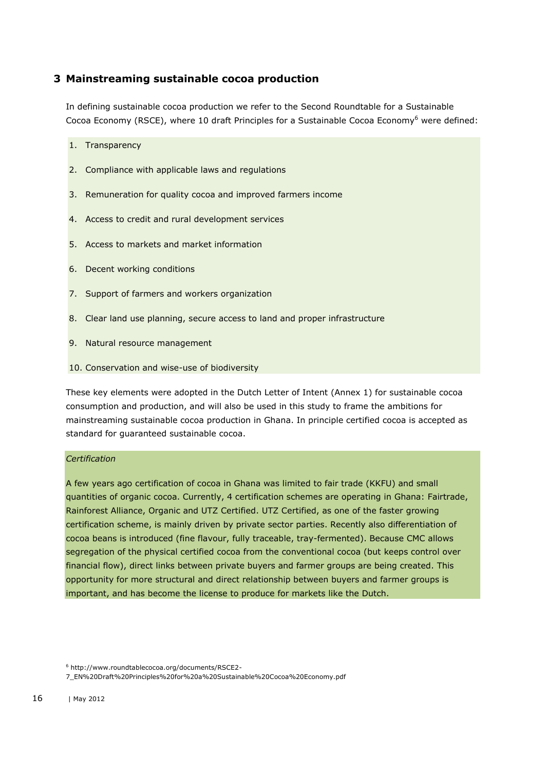## <span id="page-15-0"></span>**3 Mainstreaming sustainable cocoa production**

In defining sustainable cocoa production we refer to the Second Roundtable for a Sustainable Cocoa Economy (RSCE), where 10 draft Principles for a Sustainable Cocoa Economy<sup>6</sup> were defined:

1. Transparency

- 2. Compliance with applicable laws and regulations
- 3. Remuneration for quality cocoa and improved farmers income
- 4. Access to credit and rural development services
- 5. Access to markets and market information
- 6. Decent working conditions
- 7. Support of farmers and workers organization
- 8. Clear land use planning, secure access to land and proper infrastructure
- 9. Natural resource management
- 10. Conservation and wise-use of biodiversity

These key elements were adopted in the Dutch Letter of Intent (Annex 1) for sustainable cocoa consumption and production, and will also be used in this study to frame the ambitions for mainstreaming sustainable cocoa production in Ghana. In principle certified cocoa is accepted as standard for guaranteed sustainable cocoa.

### *Certification*

A few years ago certification of cocoa in Ghana was limited to fair trade (KKFU) and small quantities of organic cocoa. Currently, 4 certification schemes are operating in Ghana: Fairtrade, Rainforest Alliance, Organic and UTZ Certified. UTZ Certified, as one of the faster growing certification scheme, is mainly driven by private sector parties. Recently also differentiation of cocoa beans is introduced (fine flavour, fully traceable, tray-fermented). Because CMC allows segregation of the physical certified cocoa from the conventional cocoa (but keeps control over financial flow), direct links between private buyers and farmer groups are being created. This opportunity for more structural and direct relationship between buyers and farmer groups is important, and has become the license to produce for markets like the Dutch.

7\_EN%20Draft%20Principles%20for%20a%20Sustainable%20Cocoa%20Economy.pdf

<sup>6</sup> http://www.roundtablecocoa.org/documents/RSCE2-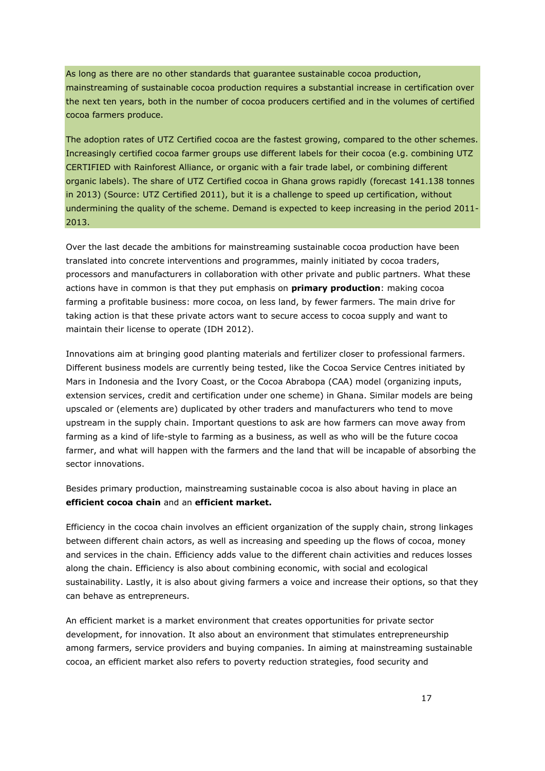As long as there are no other standards that guarantee sustainable cocoa production, mainstreaming of sustainable cocoa production requires a substantial increase in certification over the next ten years, both in the number of cocoa producers certified and in the volumes of certified cocoa farmers produce.

The adoption rates of UTZ Certified cocoa are the fastest growing, compared to the other schemes. Increasingly certified cocoa farmer groups use different labels for their cocoa (e.g. combining UTZ CERTIFIED with Rainforest Alliance, or organic with a fair trade label, or combining different organic labels). The share of UTZ Certified cocoa in Ghana grows rapidly (forecast 141.138 tonnes in 2013) (Source: UTZ Certified 2011), but it is a challenge to speed up certification, without undermining the quality of the scheme. Demand is expected to keep increasing in the period 2011- 2013.

Over the last decade the ambitions for mainstreaming sustainable cocoa production have been translated into concrete interventions and programmes, mainly initiated by cocoa traders, processors and manufacturers in collaboration with other private and public partners. What these actions have in common is that they put emphasis on **primary production**: making cocoa farming a profitable business: more cocoa, on less land, by fewer farmers. The main drive for taking action is that these private actors want to secure access to cocoa supply and want to maintain their license to operate (IDH 2012).

Innovations aim at bringing good planting materials and fertilizer closer to professional farmers. Different business models are currently being tested, like the Cocoa Service Centres initiated by Mars in Indonesia and the Ivory Coast, or the Cocoa Abrabopa (CAA) model (organizing inputs, extension services, credit and certification under one scheme) in Ghana. Similar models are being upscaled or (elements are) duplicated by other traders and manufacturers who tend to move upstream in the supply chain. Important questions to ask are how farmers can move away from farming as a kind of life-style to farming as a business, as well as who will be the future cocoa farmer, and what will happen with the farmers and the land that will be incapable of absorbing the sector innovations.

Besides primary production, mainstreaming sustainable cocoa is also about having in place an **efficient cocoa chain** and an **efficient market.**

Efficiency in the cocoa chain involves an efficient organization of the supply chain, strong linkages between different chain actors, as well as increasing and speeding up the flows of cocoa, money and services in the chain. Efficiency adds value to the different chain activities and reduces losses along the chain. Efficiency is also about combining economic, with social and ecological sustainability. Lastly, it is also about giving farmers a voice and increase their options, so that they can behave as entrepreneurs.

An efficient market is a market environment that creates opportunities for private sector development, for innovation. It also about an environment that stimulates entrepreneurship among farmers, service providers and buying companies. In aiming at mainstreaming sustainable cocoa, an efficient market also refers to poverty reduction strategies, food security and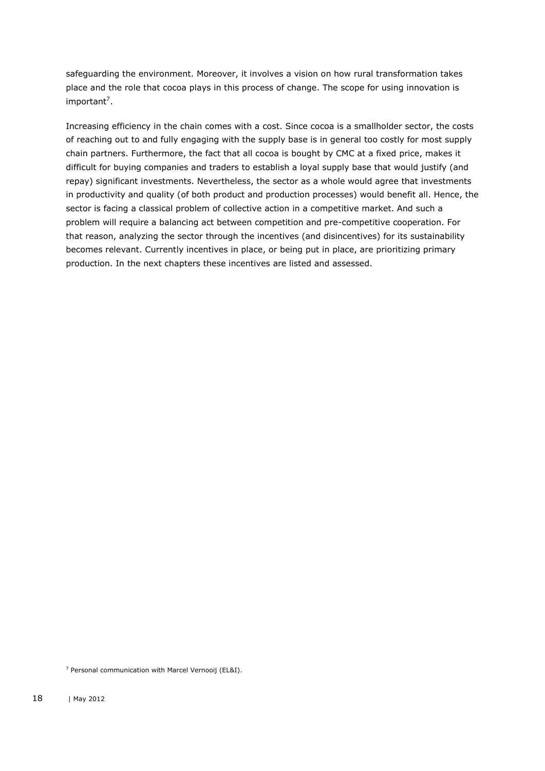safeguarding the environment. Moreover, it involves a vision on how rural transformation takes place and the role that cocoa plays in this process of change. The scope for using innovation is important<sup>7</sup>.

Increasing efficiency in the chain comes with a cost. Since cocoa is a smallholder sector, the costs of reaching out to and fully engaging with the supply base is in general too costly for most supply chain partners. Furthermore, the fact that all cocoa is bought by CMC at a fixed price, makes it difficult for buying companies and traders to establish a loyal supply base that would justify (and repay) significant investments. Nevertheless, the sector as a whole would agree that investments in productivity and quality (of both product and production processes) would benefit all. Hence, the sector is facing a classical problem of collective action in a competitive market. And such a problem will require a balancing act between competition and pre-competitive cooperation. For that reason, analyzing the sector through the incentives (and disincentives) for its sustainability becomes relevant. Currently incentives in place, or being put in place, are prioritizing primary production. In the next chapters these incentives are listed and assessed.

<sup>7</sup> Personal communication with Marcel Vernooij (EL&I).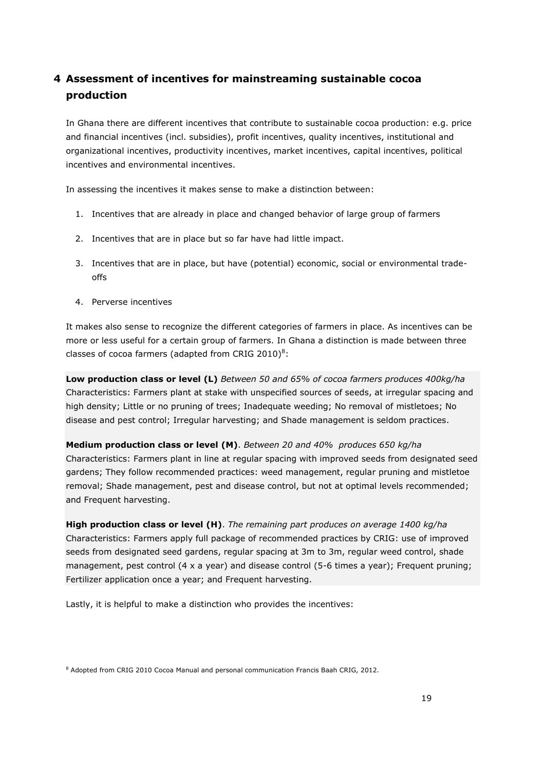# <span id="page-18-0"></span>**4 Assessment of incentives for mainstreaming sustainable cocoa production**

In Ghana there are different incentives that contribute to sustainable cocoa production: e.g. price and financial incentives (incl. subsidies), profit incentives, quality incentives, institutional and organizational incentives, productivity incentives, market incentives, capital incentives, political incentives and environmental incentives.

In assessing the incentives it makes sense to make a distinction between:

- 1. Incentives that are already in place and changed behavior of large group of farmers
- 2. Incentives that are in place but so far have had little impact.
- 3. Incentives that are in place, but have (potential) economic, social or environmental tradeoffs
- 4. Perverse incentives

It makes also sense to recognize the different categories of farmers in place. As incentives can be more or less useful for a certain group of farmers. In Ghana a distinction is made between three classes of cocoa farmers (adapted from CRIG 2010) $8$ :

**Low production class or level (L)** *Between 50 and 65% of cocoa farmers produces 400kg/ha* Characteristics: Farmers plant at stake with unspecified sources of seeds, at irregular spacing and high density; Little or no pruning of trees; Inadequate weeding; No removal of mistletoes; No disease and pest control; Irregular harvesting; and Shade management is seldom practices.

**Medium production class or level (M)**. *Between 20 and 40% produces 650 kg/ha*  Characteristics: Farmers plant in line at regular spacing with improved seeds from designated seed gardens; They follow recommended practices: weed management, regular pruning and mistletoe removal; Shade management, pest and disease control, but not at optimal levels recommended; and Frequent harvesting.

**High production class or level (H)**. *The remaining part produces on average 1400 kg/ha* Characteristics: Farmers apply full package of recommended practices by CRIG: use of improved seeds from designated seed gardens, regular spacing at 3m to 3m, regular weed control, shade management, pest control (4 x a year) and disease control (5-6 times a year); Frequent pruning; Fertilizer application once a year; and Frequent harvesting.

Lastly, it is helpful to make a distinction who provides the incentives:

<sup>8</sup> Adopted from CRIG 2010 Cocoa Manual and personal communication Francis Baah CRIG, 2012.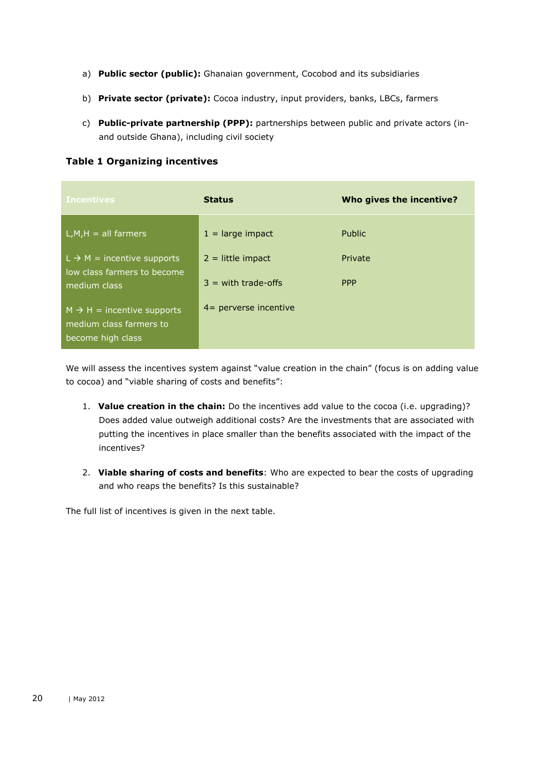- a) **Public sector (public):** Ghanaian government, Cocobod and its subsidiaries
- b) **Private sector (private):** Cocoa industry, input providers, banks, LBCs, farmers
- c) **Public-private partnership (PPP):** partnerships between public and private actors (inand outside Ghana), including civil society

**Table 1 Organizing incentives**

| <b>Incentives</b>                                                                      | <b>Status</b>                                | Who gives the incentive? |
|----------------------------------------------------------------------------------------|----------------------------------------------|--------------------------|
| $L, M, H = all farmers$                                                                | $1 =$ large impact                           | <b>Public</b>            |
| $L \rightarrow M =$ incentive supports<br>low class farmers to become<br>medium class  | $2 =$ little impact<br>$3 =$ with trade-offs | Private<br><b>PPP</b>    |
| $M \rightarrow H =$ incentive supports<br>medium class farmers to<br>become high class | $4$ = perverse incentive                     |                          |

We will assess the incentives system against "value creation in the chain" (focus is on adding value to cocoa) and "viable sharing of costs and benefits":

- 1. **Value creation in the chain:** Do the incentives add value to the cocoa (i.e. upgrading)? Does added value outweigh additional costs? Are the investments that are associated with putting the incentives in place smaller than the benefits associated with the impact of the incentives?
- 2. **Viable sharing of costs and benefits**: Who are expected to bear the costs of upgrading and who reaps the benefits? Is this sustainable?

The full list of incentives is given in the next table.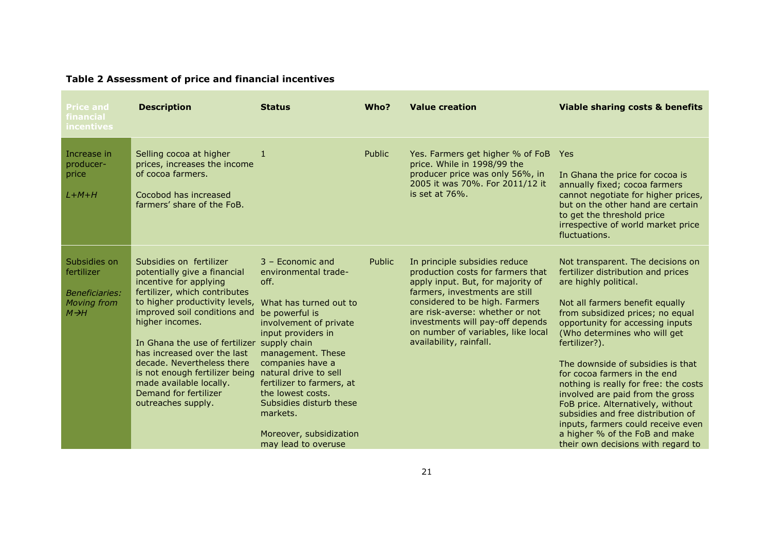| <b>Price and</b><br>financial<br><b>incentives</b>                                             | <b>Description</b>                                                                                                                                                                                                                                                                                                                                                                                                                       | <b>Status</b>                                                                                                                                                                                                                                                                                                                                    | Who?          | <b>Value creation</b>                                                                                                                                                                                                                                                                                               | <b>Viable sharing costs &amp; benefits</b>                                                                                                                                                                                                                                                                                                                                                                                                                                                                                                                                                               |
|------------------------------------------------------------------------------------------------|------------------------------------------------------------------------------------------------------------------------------------------------------------------------------------------------------------------------------------------------------------------------------------------------------------------------------------------------------------------------------------------------------------------------------------------|--------------------------------------------------------------------------------------------------------------------------------------------------------------------------------------------------------------------------------------------------------------------------------------------------------------------------------------------------|---------------|---------------------------------------------------------------------------------------------------------------------------------------------------------------------------------------------------------------------------------------------------------------------------------------------------------------------|----------------------------------------------------------------------------------------------------------------------------------------------------------------------------------------------------------------------------------------------------------------------------------------------------------------------------------------------------------------------------------------------------------------------------------------------------------------------------------------------------------------------------------------------------------------------------------------------------------|
| Increase in<br>producer-<br>price<br>$L+M+H$                                                   | Selling cocoa at higher<br>prices, increases the income<br>of cocoa farmers.<br>Cocobod has increased<br>farmers' share of the FoB.                                                                                                                                                                                                                                                                                                      | -1                                                                                                                                                                                                                                                                                                                                               | <b>Public</b> | Yes. Farmers get higher % of FoB Yes<br>price. While in 1998/99 the<br>producer price was only 56%, in<br>2005 it was 70%. For 2011/12 it<br>is set at $76\%$ .                                                                                                                                                     | In Ghana the price for cocoa is<br>annually fixed; cocoa farmers<br>cannot negotiate for higher prices,<br>but on the other hand are certain<br>to get the threshold price<br>irrespective of world market price<br>fluctuations.                                                                                                                                                                                                                                                                                                                                                                        |
| Subsidies on<br>fertilizer<br><b>Beneficiaries:</b><br><b>Moving from</b><br>$M \rightarrow H$ | Subsidies on fertilizer<br>potentially give a financial<br>incentive for applying<br>fertilizer, which contributes<br>to higher productivity levels,<br>improved soil conditions and<br>higher incomes.<br>In Ghana the use of fertilizer<br>has increased over the last<br>decade. Nevertheless there<br>is not enough fertilizer being natural drive to sell<br>made available locally.<br>Demand for fertilizer<br>outreaches supply. | 3 - Economic and<br>environmental trade-<br>off.<br>What has turned out to<br>be powerful is<br>involvement of private<br>input providers in<br>supply chain<br>management. These<br>companies have a<br>fertilizer to farmers, at<br>the lowest costs.<br>Subsidies disturb these<br>markets.<br>Moreover, subsidization<br>may lead to overuse | Public        | In principle subsidies reduce<br>production costs for farmers that<br>apply input. But, for majority of<br>farmers, investments are still<br>considered to be high. Farmers<br>are risk-averse: whether or not<br>investments will pay-off depends<br>on number of variables, like local<br>availability, rainfall. | Not transparent. The decisions on<br>fertilizer distribution and prices<br>are highly political.<br>Not all farmers benefit equally<br>from subsidized prices; no equal<br>opportunity for accessing inputs<br>(Who determines who will get)<br>fertilizer?).<br>The downside of subsidies is that<br>for cocoa farmers in the end<br>nothing is really for free: the costs<br>involved are paid from the gross<br>FoB price. Alternatively, without<br>subsidies and free distribution of<br>inputs, farmers could receive even<br>a higher % of the FoB and make<br>their own decisions with regard to |

## **Table 2 Assessment of price and financial incentives**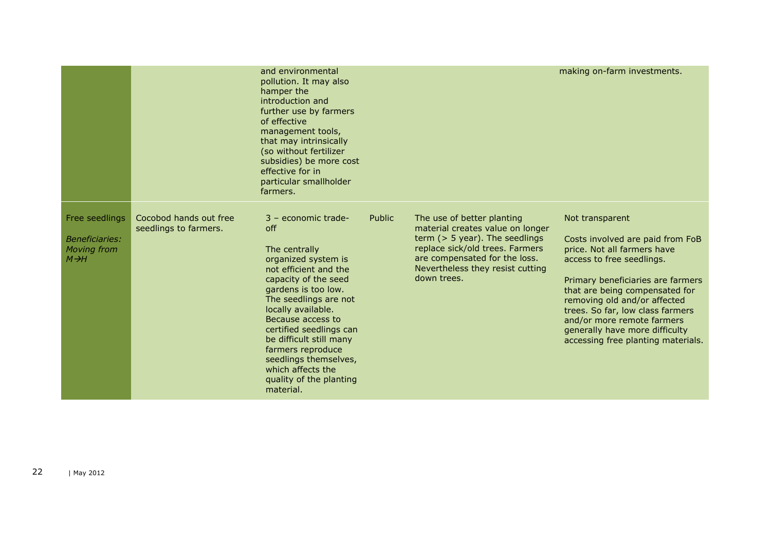|                                                                                    |                                                 | and environmental<br>pollution. It may also<br>hamper the<br>introduction and<br>further use by farmers<br>of effective<br>management tools,<br>that may intrinsically<br>(so without fertilizer<br>subsidies) be more cost<br>effective for in<br>particular smallholder<br>farmers.                                                                                             |        |                                                                                                                                                                                                                            | making on-farm investments.                                                                                                                                                                                                                                                                                                                                      |
|------------------------------------------------------------------------------------|-------------------------------------------------|-----------------------------------------------------------------------------------------------------------------------------------------------------------------------------------------------------------------------------------------------------------------------------------------------------------------------------------------------------------------------------------|--------|----------------------------------------------------------------------------------------------------------------------------------------------------------------------------------------------------------------------------|------------------------------------------------------------------------------------------------------------------------------------------------------------------------------------------------------------------------------------------------------------------------------------------------------------------------------------------------------------------|
| Free seedlings<br><i>Beneficiaries:</i><br><b>Moving from</b><br>$M \rightarrow H$ | Cocobod hands out free<br>seedlings to farmers. | $3$ – economic trade-<br>off<br>The centrally<br>organized system is<br>not efficient and the<br>capacity of the seed<br>gardens is too low.<br>The seedlings are not<br>locally available.<br>Because access to<br>certified seedlings can<br>be difficult still many<br>farmers reproduce<br>seedlings themselves,<br>which affects the<br>quality of the planting<br>material. | Public | The use of better planting<br>material creates value on longer<br>term $($ > 5 year). The seedlings<br>replace sick/old trees. Farmers<br>are compensated for the loss.<br>Nevertheless they resist cutting<br>down trees. | Not transparent<br>Costs involved are paid from FoB<br>price. Not all farmers have<br>access to free seedlings.<br>Primary beneficiaries are farmers<br>that are being compensated for<br>removing old and/or affected<br>trees. So far, low class farmers<br>and/or more remote farmers<br>generally have more difficulty<br>accessing free planting materials. |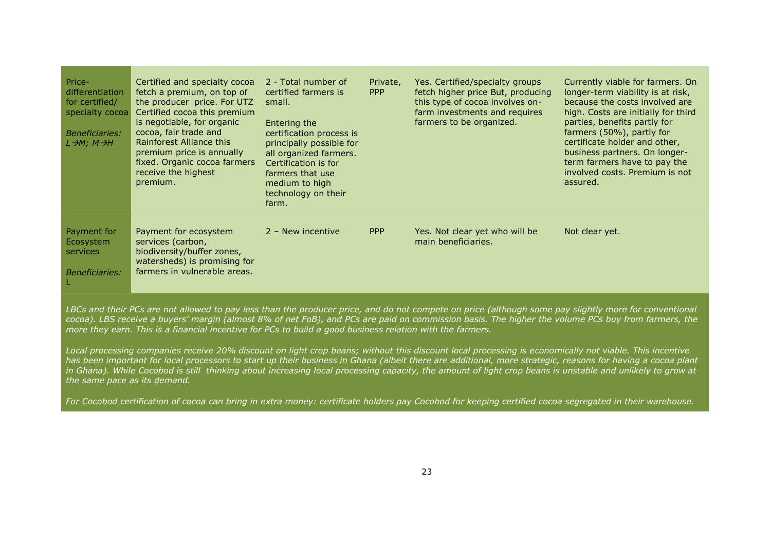| Price-<br>differentiation<br>for certified/<br>specialty cocoa<br><b>Beneficiaries:</b><br>L→M; M→H | Certified and specialty cocoa<br>fetch a premium, on top of<br>the producer price. For UTZ<br>Certified cocoa this premium<br>is negotiable, for organic<br>cocoa, fair trade and<br>Rainforest Alliance this<br>premium price is annually<br>fixed. Organic cocoa farmers<br>receive the highest<br>premium. | 2 - Total number of<br>certified farmers is<br>small.<br>Entering the<br>certification process is<br>principally possible for<br>all organized farmers.<br>Certification is for<br>farmers that use<br>medium to high<br>technology on their<br>farm. | Private,<br><b>PPP</b> | Yes. Certified/specialty groups<br>fetch higher price But, producing<br>this type of cocoa involves on-<br>farm investments and requires<br>farmers to be organized. | Currently viable for farmers. On<br>longer-term viability is at risk,<br>because the costs involved are<br>high. Costs are initially for third<br>parties, benefits partly for<br>farmers (50%), partly for<br>certificate holder and other,<br>business partners. On longer-<br>term farmers have to pay the<br>involved costs. Premium is not<br>assured. |
|-----------------------------------------------------------------------------------------------------|---------------------------------------------------------------------------------------------------------------------------------------------------------------------------------------------------------------------------------------------------------------------------------------------------------------|-------------------------------------------------------------------------------------------------------------------------------------------------------------------------------------------------------------------------------------------------------|------------------------|----------------------------------------------------------------------------------------------------------------------------------------------------------------------|-------------------------------------------------------------------------------------------------------------------------------------------------------------------------------------------------------------------------------------------------------------------------------------------------------------------------------------------------------------|
| Payment for<br>Ecosystem<br>services<br><b>Beneficiaries:</b><br>L                                  | Payment for ecosystem<br>services (carbon,<br>biodiversity/buffer zones,<br>watersheds) is promising for<br>farmers in vulnerable areas.                                                                                                                                                                      | $2 -$ New incentive                                                                                                                                                                                                                                   | <b>PPP</b>             | Yes. Not clear yet who will be<br>main beneficiaries.                                                                                                                | Not clear yet.                                                                                                                                                                                                                                                                                                                                              |

*LBCs and their PCs are not allowed to pay less than the producer price, and do not compete on price (although some pay slightly more for conventional cocoa). LBS receive a buyers' margin (almost 8% of net FoB), and PCs are paid on commission basis. The higher the volume PCs buy from farmers, the more they earn. This is a financial incentive for PCs to build a good business relation with the farmers.*

*Local processing companies receive 20% discount on light crop beans; without this discount local processing is economically not viable. This incentive has been important for local processors to start up their business in Ghana (albeit there are additional, more strategic, reasons for having a cocoa plant*  in Ghana). While Cocobod is still thinking about increasing local processing capacity, the amount of light crop beans is unstable and unlikely to grow at *the same pace as its demand.* 

*For Cocobod certification of cocoa can bring in extra money: certificate holders pay Cocobod for keeping certified cocoa segregated in their warehouse.*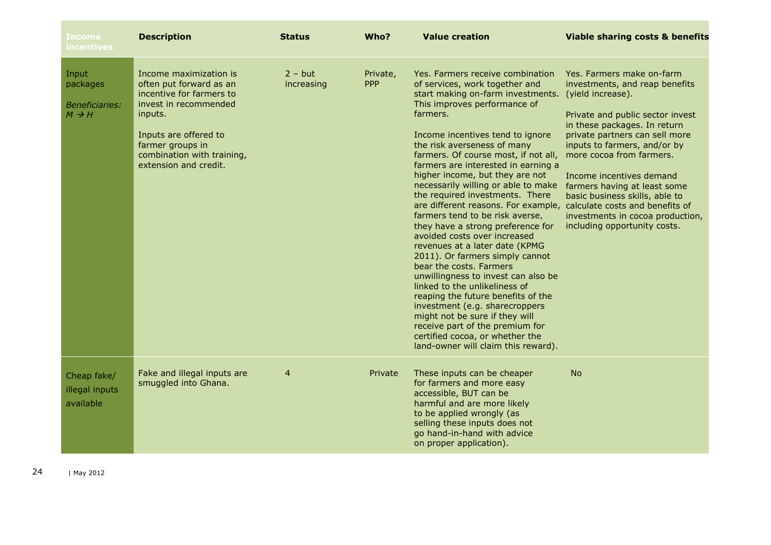| Income<br>incentives                                            | <b>Description</b>                                                                                                                                                                                                    | <b>Status</b>                  | Who?                   | <b>Value creation</b>                                                                                                                                                                                                                                                                                                                                                                                                                                                                                                                                                                                                                                                                                                                                                                                                                                                                                                                                                                            | <b>Viable sharing costs &amp; benefits</b>                                                                                                                                                                                                                                                                                                                                                                           |
|-----------------------------------------------------------------|-----------------------------------------------------------------------------------------------------------------------------------------------------------------------------------------------------------------------|--------------------------------|------------------------|--------------------------------------------------------------------------------------------------------------------------------------------------------------------------------------------------------------------------------------------------------------------------------------------------------------------------------------------------------------------------------------------------------------------------------------------------------------------------------------------------------------------------------------------------------------------------------------------------------------------------------------------------------------------------------------------------------------------------------------------------------------------------------------------------------------------------------------------------------------------------------------------------------------------------------------------------------------------------------------------------|----------------------------------------------------------------------------------------------------------------------------------------------------------------------------------------------------------------------------------------------------------------------------------------------------------------------------------------------------------------------------------------------------------------------|
| Input<br>packages<br><i>Beneficiaries:</i><br>$M \rightarrow H$ | Income maximization is<br>often put forward as an<br>incentive for farmers to<br>invest in recommended<br>inputs.<br>Inputs are offered to<br>farmer groups in<br>combination with training,<br>extension and credit. | $2 - \text{but}$<br>increasing | Private,<br><b>PPP</b> | Yes. Farmers receive combination<br>of services, work together and<br>start making on-farm investments.<br>This improves performance of<br>farmers.<br>Income incentives tend to ignore<br>the risk averseness of many<br>farmers. Of course most, if not all,<br>farmers are interested in earning a<br>higher income, but they are not<br>necessarily willing or able to make<br>the required investments. There<br>are different reasons. For example, calculate costs and benefits of<br>farmers tend to be risk averse,<br>they have a strong preference for<br>avoided costs over increased<br>revenues at a later date (KPMG<br>2011). Or farmers simply cannot<br>bear the costs. Farmers<br>unwillingness to invest can also be<br>linked to the unlikeliness of<br>reaping the future benefits of the<br>investment (e.g. sharecroppers<br>might not be sure if they will<br>receive part of the premium for<br>certified cocoa, or whether the<br>land-owner will claim this reward). | Yes. Farmers make on-farm<br>investments, and reap benefits<br>(yield increase).<br>Private and public sector invest<br>in these packages. In return<br>private partners can sell more<br>inputs to farmers, and/or by<br>more cocoa from farmers.<br>Income incentives demand<br>farmers having at least some<br>basic business skills, able to<br>investments in cocoa production,<br>including opportunity costs. |
| Cheap fake/<br>illegal inputs<br>available                      | Fake and illegal inputs are<br>smuggled into Ghana.                                                                                                                                                                   | $\overline{4}$                 | Private                | These inputs can be cheaper<br>for farmers and more easy<br>accessible, BUT can be<br>harmful and are more likely<br>to be applied wrongly (as<br>selling these inputs does not<br>go hand-in-hand with advice<br>on proper application).                                                                                                                                                                                                                                                                                                                                                                                                                                                                                                                                                                                                                                                                                                                                                        | <b>No</b>                                                                                                                                                                                                                                                                                                                                                                                                            |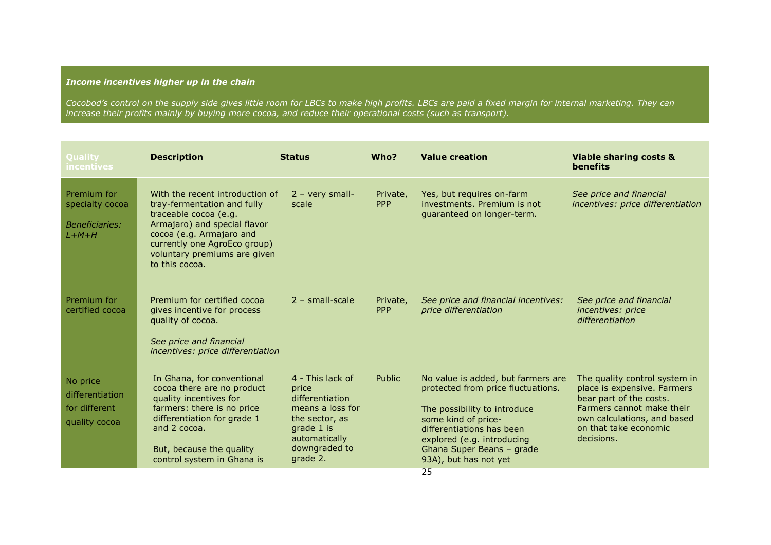## *Income incentives higher up in the chain*

*Cocobod's control on the supply side gives little room for LBCs to make high profits. LBCs are paid a fixed margin for internal marketing. They can increase their profits mainly by buying more cocoa, and reduce their operational costs (such as transport).*

| <b>Ouality</b><br>incentives                                       | <b>Description</b>                                                                                                                                                                                                                    | <b>Status</b>                                                                                                                                  | Who?                   | <b>Value creation</b>                                                                                                                                                                                                                                  | <b>Viable sharing costs &amp;</b><br><b>benefits</b>                                                                                                                                       |
|--------------------------------------------------------------------|---------------------------------------------------------------------------------------------------------------------------------------------------------------------------------------------------------------------------------------|------------------------------------------------------------------------------------------------------------------------------------------------|------------------------|--------------------------------------------------------------------------------------------------------------------------------------------------------------------------------------------------------------------------------------------------------|--------------------------------------------------------------------------------------------------------------------------------------------------------------------------------------------|
| Premium for<br>specialty cocoa<br><b>Beneficiaries:</b><br>$L+M+H$ | With the recent introduction of<br>tray-fermentation and fully<br>traceable cocoa (e.g.<br>Armajaro) and special flavor<br>cocoa (e.g. Armajaro and<br>currently one AgroEco group)<br>voluntary premiums are given<br>to this cocoa. | $2 - very small$ -<br>scale                                                                                                                    | Private,<br><b>PPP</b> | Yes, but requires on-farm<br>investments. Premium is not<br>guaranteed on longer-term.                                                                                                                                                                 | See price and financial<br>incentives: price differentiation                                                                                                                               |
| Premium for<br>certified cocoa                                     | Premium for certified cocoa<br>gives incentive for process<br>quality of cocoa.<br>See price and financial<br>incentives: price differentiation                                                                                       | $2 - small-scale$                                                                                                                              | Private,<br><b>PPP</b> | See price and financial incentives:<br>price differentiation                                                                                                                                                                                           | See price and financial<br>incentives: price<br>differentiation                                                                                                                            |
| No price<br>differentiation<br>for different<br>quality cocoa      | In Ghana, for conventional<br>cocoa there are no product<br>quality incentives for<br>farmers: there is no price<br>differentiation for grade 1<br>and 2 cocoa.<br>But, because the quality<br>control system in Ghana is             | 4 - This lack of<br>price<br>differentiation<br>means a loss for<br>the sector, as<br>grade 1 is<br>automatically<br>downgraded to<br>grade 2. | Public                 | No value is added, but farmers are<br>protected from price fluctuations.<br>The possibility to introduce<br>some kind of price-<br>differentiations has been<br>explored (e.g. introducing<br>Ghana Super Beans - grade<br>93A), but has not yet<br>25 | The quality control system in<br>place is expensive. Farmers<br>bear part of the costs.<br>Farmers cannot make their<br>own calculations, and based<br>on that take economic<br>decisions. |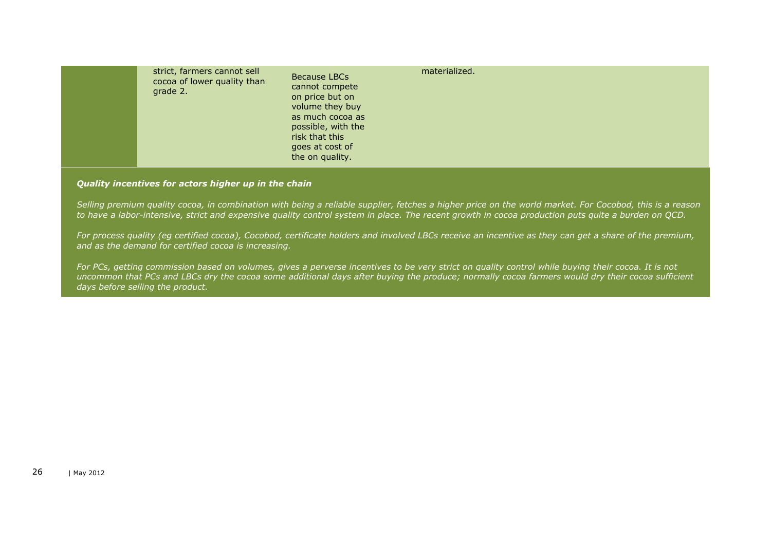|  | strict, farmers cannot sell<br>cocoa of lower quality than<br>grade 2. | Because LBCs<br>cannot compete<br>on price but on<br>volume they buy<br>as much cocoa as<br>possible, with the<br>risk that this<br>goes at cost of<br>the on quality. | materialized. |
|--|------------------------------------------------------------------------|------------------------------------------------------------------------------------------------------------------------------------------------------------------------|---------------|
|--|------------------------------------------------------------------------|------------------------------------------------------------------------------------------------------------------------------------------------------------------------|---------------|

#### *Quality incentives for actors higher up in the chain*

*Selling premium quality cocoa, in combination with being a reliable supplier, fetches a higher price on the world market. For Cocobod, this is a reason to have a labor-intensive, strict and expensive quality control system in place. The recent growth in cocoa production puts quite a burden on QCD.* 

*For process quality (eg certified cocoa), Cocobod, certificate holders and involved LBCs receive an incentive as they can get a share of the premium, and as the demand for certified cocoa is increasing.*

*For PCs, getting commission based on volumes, gives a perverse incentives to be very strict on quality control while buying their cocoa. It is not uncommon that PCs and LBCs dry the cocoa some additional days after buying the produce; normally cocoa farmers would dry their cocoa sufficient days before selling the product.*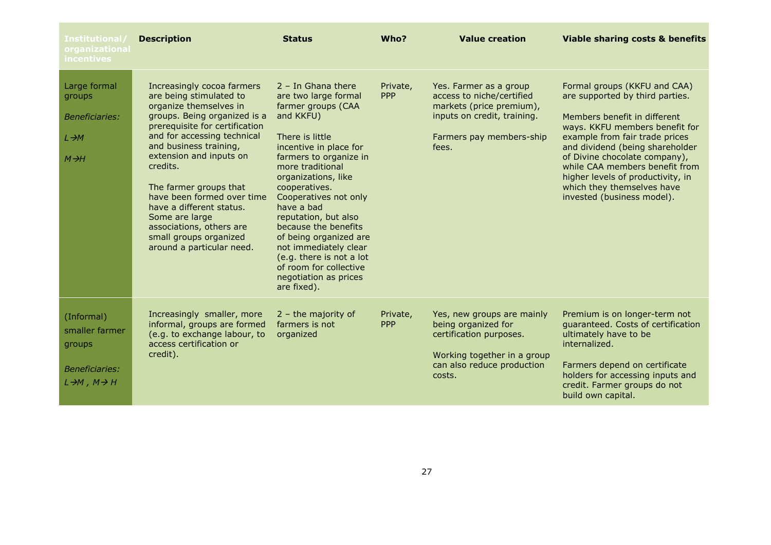| Institutional/<br>organizational<br>incentives                                                    | <b>Description</b>                                                                                                                                                                                                                                                                                                                                                                                                                         | <b>Status</b>                                                                                                                                                                                                                                                                                                                                                                                                                                              | Who?                   | <b>Value creation</b>                                                                                                                               | <b>Viable sharing costs &amp; benefits</b>                                                                                                                                                                                                                                                                                                                                 |
|---------------------------------------------------------------------------------------------------|--------------------------------------------------------------------------------------------------------------------------------------------------------------------------------------------------------------------------------------------------------------------------------------------------------------------------------------------------------------------------------------------------------------------------------------------|------------------------------------------------------------------------------------------------------------------------------------------------------------------------------------------------------------------------------------------------------------------------------------------------------------------------------------------------------------------------------------------------------------------------------------------------------------|------------------------|-----------------------------------------------------------------------------------------------------------------------------------------------------|----------------------------------------------------------------------------------------------------------------------------------------------------------------------------------------------------------------------------------------------------------------------------------------------------------------------------------------------------------------------------|
| Large formal<br>groups<br><b>Beneficiaries:</b><br>$L \rightarrow M$<br>$M \rightarrow H$         | Increasingly cocoa farmers<br>are being stimulated to<br>organize themselves in<br>groups. Being organized is a<br>prerequisite for certification<br>and for accessing technical<br>and business training,<br>extension and inputs on<br>credits.<br>The farmer groups that<br>have been formed over time<br>have a different status.<br>Some are large<br>associations, others are<br>small groups organized<br>around a particular need. | $2 - In Ghana there$<br>are two large formal<br>farmer groups (CAA<br>and KKFU)<br>There is little<br>incentive in place for<br>farmers to organize in<br>more traditional<br>organizations, like<br>cooperatives.<br>Cooperatives not only<br>have a bad<br>reputation, but also<br>because the benefits<br>of being organized are<br>not immediately clear<br>(e.g. there is not a lot<br>of room for collective<br>negotiation as prices<br>are fixed). | Private,<br><b>PPP</b> | Yes. Farmer as a group<br>access to niche/certified<br>markets (price premium),<br>inputs on credit, training.<br>Farmers pay members-ship<br>fees. | Formal groups (KKFU and CAA)<br>are supported by third parties.<br>Members benefit in different<br>ways. KKFU members benefit for<br>example from fair trade prices<br>and dividend (being shareholder<br>of Divine chocolate company),<br>while CAA members benefit from<br>higher levels of productivity, in<br>which they themselves have<br>invested (business model). |
| (Informal)<br>smaller farmer<br>groups<br>Beneficiaries:<br>$L \rightarrow M$ , $M \rightarrow H$ | Increasingly smaller, more<br>informal, groups are formed<br>(e.g. to exchange labour, to<br>access certification or<br>credit).                                                                                                                                                                                                                                                                                                           | $2 -$ the majority of<br>farmers is not<br>organized                                                                                                                                                                                                                                                                                                                                                                                                       | Private,<br><b>PPP</b> | Yes, new groups are mainly<br>being organized for<br>certification purposes.<br>Working together in a group<br>can also reduce production<br>costs. | Premium is on longer-term not<br>quaranteed. Costs of certification<br>ultimately have to be<br>internalized.<br>Farmers depend on certificate<br>holders for accessing inputs and<br>credit. Farmer groups do not<br>build own capital.                                                                                                                                   |

m.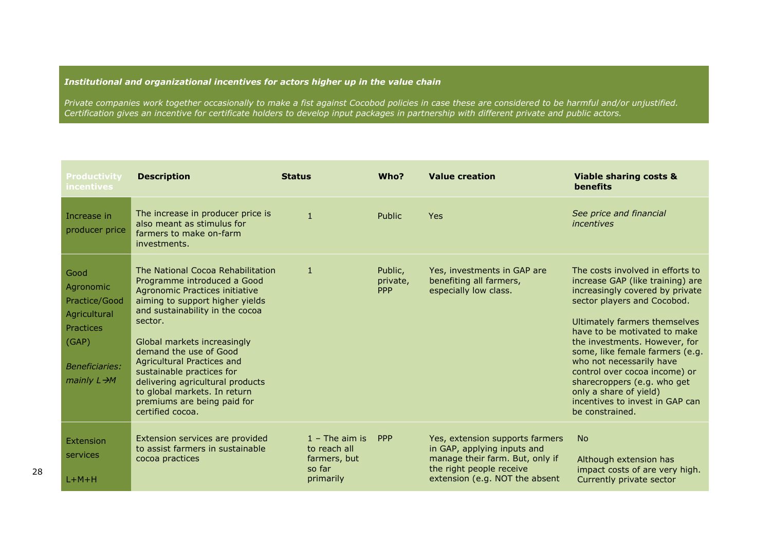## *Institutional and organizational incentives for actors higher up in the value chain*

*Private companies work together occasionally to make a fist against Cocobod policies in case these are considered to be harmful and/or unjustified. Certification gives an incentive for certificate holders to develop input packages in partnership with different private and public actors.*

| <b>Productivity</b><br><i>incentives</i>                                                                                             | <b>Description</b>                                                                                                                                                                                                                                                                                                                                                                                                             | <b>Status</b>                                                           | Who?                              | <b>Value creation</b>                                                                                                                                           | <b>Viable sharing costs &amp;</b><br>benefits                                                                                                                                                                                                                                                                                                                                                                                                           |
|--------------------------------------------------------------------------------------------------------------------------------------|--------------------------------------------------------------------------------------------------------------------------------------------------------------------------------------------------------------------------------------------------------------------------------------------------------------------------------------------------------------------------------------------------------------------------------|-------------------------------------------------------------------------|-----------------------------------|-----------------------------------------------------------------------------------------------------------------------------------------------------------------|---------------------------------------------------------------------------------------------------------------------------------------------------------------------------------------------------------------------------------------------------------------------------------------------------------------------------------------------------------------------------------------------------------------------------------------------------------|
| Increase in<br>producer price                                                                                                        | The increase in producer price is<br>also meant as stimulus for<br>farmers to make on-farm<br>investments.                                                                                                                                                                                                                                                                                                                     | $\mathbf{1}$                                                            | Public                            | <b>Yes</b>                                                                                                                                                      | See price and financial<br>incentives                                                                                                                                                                                                                                                                                                                                                                                                                   |
| Good<br>Agronomic<br>Practice/Good<br>Agricultural<br><b>Practices</b><br>(GAP)<br><b>Beneficiaries:</b><br>mainly $L \rightarrow M$ | The National Cocoa Rehabilitation<br>Programme introduced a Good<br>Agronomic Practices initiative<br>aiming to support higher yields<br>and sustainability in the cocoa<br>sector.<br>Global markets increasingly<br>demand the use of Good<br>Agricultural Practices and<br>sustainable practices for<br>delivering agricultural products<br>to global markets. In return<br>premiums are being paid for<br>certified cocoa. | $\mathbf{1}$                                                            | Public,<br>private,<br><b>PPP</b> | Yes, investments in GAP are<br>benefiting all farmers,<br>especially low class.                                                                                 | The costs involved in efforts to<br>increase GAP (like training) are<br>increasingly covered by private<br>sector players and Cocobod.<br>Ultimately farmers themselves<br>have to be motivated to make<br>the investments. However, for<br>some, like female farmers (e.g.<br>who not necessarily have<br>control over cocoa income) or<br>sharecroppers (e.g. who get<br>only a share of yield)<br>incentives to invest in GAP can<br>be constrained. |
| Extension<br>services<br>$L+M+H$                                                                                                     | Extension services are provided<br>to assist farmers in sustainable<br>cocoa practices                                                                                                                                                                                                                                                                                                                                         | $1 -$ The aim is<br>to reach all<br>farmers, but<br>so far<br>primarily | <b>PPP</b>                        | Yes, extension supports farmers<br>in GAP, applying inputs and<br>manage their farm. But, only if<br>the right people receive<br>extension (e.g. NOT the absent | <b>No</b><br>Although extension has<br>impact costs of are very high.<br>Currently private sector                                                                                                                                                                                                                                                                                                                                                       |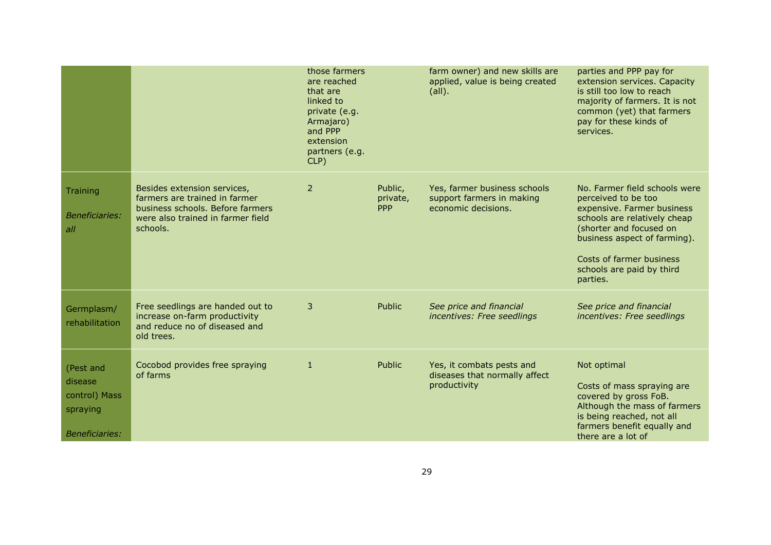|                                                                            |                                                                                                                                                   | those farmers<br>are reached<br>that are<br>linked to<br>private (e.g.<br>Armajaro)<br>and PPP<br>extension<br>partners (e.g.<br>$CLP$ ) |                                   | farm owner) and new skills are<br>applied, value is being created<br>$(\text{all}).$ | parties and PPP pay for<br>extension services. Capacity<br>is still too low to reach<br>majority of farmers. It is not<br>common (yet) that farmers<br>pay for these kinds of<br>services.                                                         |
|----------------------------------------------------------------------------|---------------------------------------------------------------------------------------------------------------------------------------------------|------------------------------------------------------------------------------------------------------------------------------------------|-----------------------------------|--------------------------------------------------------------------------------------|----------------------------------------------------------------------------------------------------------------------------------------------------------------------------------------------------------------------------------------------------|
| <b>Training</b><br><b>Beneficiaries:</b><br>all                            | Besides extension services,<br>farmers are trained in farmer<br>business schools. Before farmers<br>were also trained in farmer field<br>schools. | 2                                                                                                                                        | Public,<br>private,<br><b>PPP</b> | Yes, farmer business schools<br>support farmers in making<br>economic decisions.     | No. Farmer field schools were<br>perceived to be too<br>expensive. Farmer business<br>schools are relatively cheap<br>(shorter and focused on<br>business aspect of farming).<br>Costs of farmer business<br>schools are paid by third<br>parties. |
| Germplasm/<br>rehabilitation                                               | Free seedlings are handed out to<br>increase on-farm productivity<br>and reduce no of diseased and<br>old trees.                                  | 3                                                                                                                                        | Public                            | See price and financial<br>incentives: Free seedlings                                | See price and financial<br>incentives: Free seedlings                                                                                                                                                                                              |
| (Pest and<br>disease<br>control) Mass<br>spraying<br><b>Beneficiaries:</b> | Cocobod provides free spraying<br>of farms                                                                                                        | $\mathbf{1}$                                                                                                                             | Public                            | Yes, it combats pests and<br>diseases that normally affect<br>productivity           | Not optimal<br>Costs of mass spraying are<br>covered by gross FoB.<br>Although the mass of farmers<br>is being reached, not all<br>farmers benefit equally and<br>there are a lot of                                                               |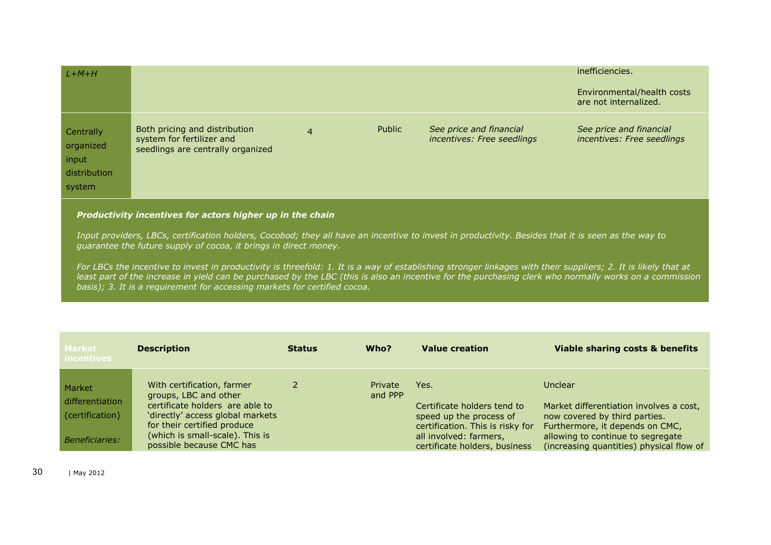| $L+M+H$                                                   |                                                                                                 |                |        |                                                       | inefficiencies.<br>Environmental/health costs<br>are not internalized. |
|-----------------------------------------------------------|-------------------------------------------------------------------------------------------------|----------------|--------|-------------------------------------------------------|------------------------------------------------------------------------|
| Centrally<br>organized<br>input<br>distribution<br>system | Both pricing and distribution<br>system for fertilizer and<br>seedlings are centrally organized | $\overline{4}$ | Public | See price and financial<br>incentives: Free seedlings | See price and financial<br>incentives: Free seedlings                  |

#### *Productivity incentives for actors higher up in the chain*

*Input providers, LBCs, certification holders, Cocobod; they all have an incentive to invest in productivity. Besides that it is seen as the way to guarantee the future supply of cocoa, it brings in direct money.*

*For LBCs the incentive to invest in productivity is threefold: 1. It is a way of establishing stronger linkages with their suppliers; 2. It is likely that at*  least part of the increase in yield can be purchased by the LBC (this is also an incentive for the purchasing clerk who normally works on a commission *basis); 3. It is a requirement for accessing markets for certified cocoa.*

| <b>Market</b><br><b>incentives</b> | <b>Description</b>                                                                                 | <b>Status</b> | Who?               | <b>Value creation</b>                                                                      | Viable sharing costs & benefits                                                                             |
|------------------------------------|----------------------------------------------------------------------------------------------------|---------------|--------------------|--------------------------------------------------------------------------------------------|-------------------------------------------------------------------------------------------------------------|
| Market                             | With certification, farmer<br>groups, LBC and other                                                |               | Private<br>and PPP | Yes.                                                                                       | Unclear                                                                                                     |
| differentiation<br>(certification) | certificate holders are able to<br>'directly' access global markets<br>for their certified produce |               |                    | Certificate holders tend to<br>speed up the process of<br>certification. This is risky for | Market differentiation involves a cost,<br>now covered by third parties.<br>Furthermore, it depends on CMC, |
| <b>Beneficiaries:</b>              | (which is small-scale). This is<br>possible because CMC has                                        |               |                    | all involved: farmers,<br>certificate holders, business                                    | allowing to continue to segregate<br>(increasing quantities) physical flow of                               |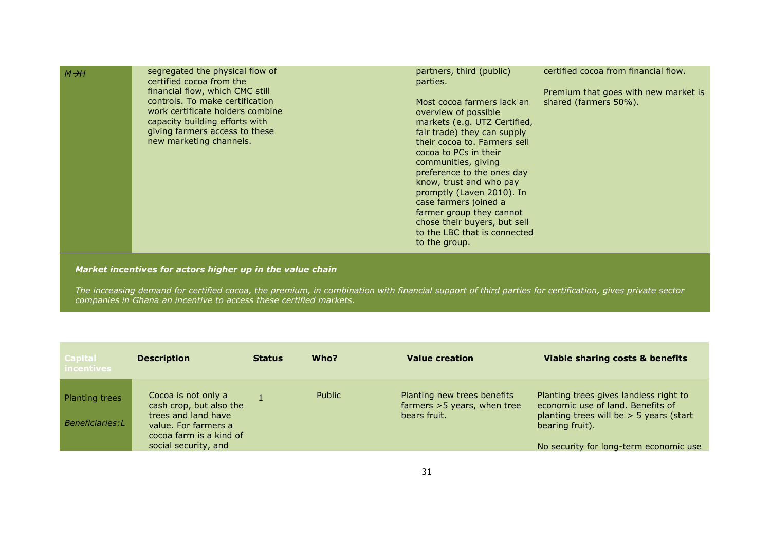| $M \rightarrow H$ | segregated the physical flow of<br>certified cocoa from the<br>financial flow, which CMC still<br>controls. To make certification<br>work certificate holders combine<br>capacity building efforts with<br>giving farmers access to these<br>new marketing channels. | partners, third (public)<br>parties.<br>Most cocoa farmers lack an<br>overview of possible<br>markets (e.g. UTZ Certified,<br>fair trade) they can supply<br>their cocoa to. Farmers sell<br>cocoa to PCs in their<br>communities, giving<br>preference to the ones day<br>know, trust and who pay<br>promptly (Laven 2010). In<br>case farmers joined a<br>farmer group they cannot<br>chose their buyers, but sell<br>to the LBC that is connected<br>to the group. | certified cocoa from financial flow.<br>Premium that goes with new market is<br>shared (farmers 50%). |
|-------------------|----------------------------------------------------------------------------------------------------------------------------------------------------------------------------------------------------------------------------------------------------------------------|-----------------------------------------------------------------------------------------------------------------------------------------------------------------------------------------------------------------------------------------------------------------------------------------------------------------------------------------------------------------------------------------------------------------------------------------------------------------------|-------------------------------------------------------------------------------------------------------|
|-------------------|----------------------------------------------------------------------------------------------------------------------------------------------------------------------------------------------------------------------------------------------------------------------|-----------------------------------------------------------------------------------------------------------------------------------------------------------------------------------------------------------------------------------------------------------------------------------------------------------------------------------------------------------------------------------------------------------------------------------------------------------------------|-------------------------------------------------------------------------------------------------------|

*Market incentives for actors higher up in the value chain*

*The increasing demand for certified cocoa, the premium, in combination with financial support of third parties for certification, gives private sector companies in Ghana an incentive to access these certified markets.*

| <b>Capital</b><br><b>incentives</b> | <b>Description</b>                                                                                                                               | <b>Status</b> | Who?   | <b>Value creation</b>                                                        | Viable sharing costs & benefits                                                                                                                                                       |
|-------------------------------------|--------------------------------------------------------------------------------------------------------------------------------------------------|---------------|--------|------------------------------------------------------------------------------|---------------------------------------------------------------------------------------------------------------------------------------------------------------------------------------|
| Planting trees<br>Beneficiaries:L   | Cocoa is not only a<br>cash crop, but also the<br>trees and land have<br>value. For farmers a<br>cocoa farm is a kind of<br>social security, and |               | Public | Planting new trees benefits<br>farmers $>5$ years, when tree<br>bears fruit. | Planting trees gives landless right to<br>economic use of land. Benefits of<br>planting trees will be $>$ 5 years (start<br>bearing fruit).<br>No security for long-term economic use |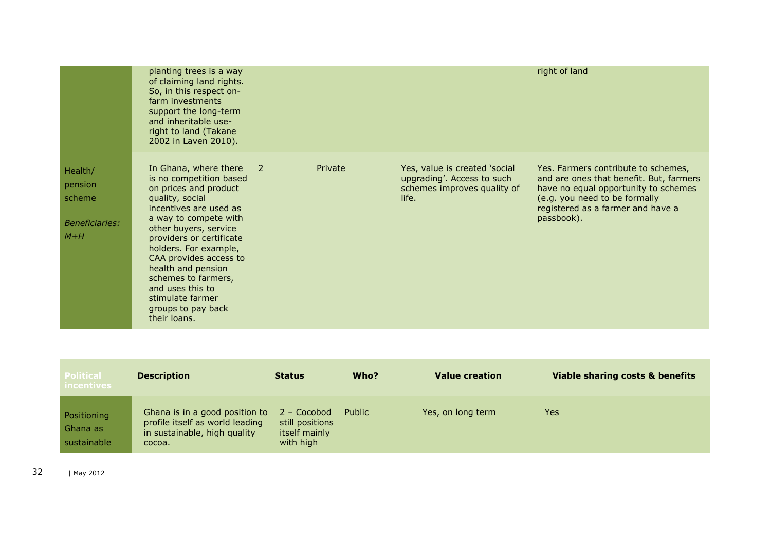|                                                                | planting trees is a way<br>of claiming land rights.<br>So, in this respect on-<br>farm investments<br>support the long-term<br>and inheritable use-<br>right to land (Takane<br>2002 in Laven 2010).                                                                                                                                                                               |              |         |                                                                                                     | right of land                                                                                                                                                                                              |
|----------------------------------------------------------------|------------------------------------------------------------------------------------------------------------------------------------------------------------------------------------------------------------------------------------------------------------------------------------------------------------------------------------------------------------------------------------|--------------|---------|-----------------------------------------------------------------------------------------------------|------------------------------------------------------------------------------------------------------------------------------------------------------------------------------------------------------------|
| Health/<br>pension<br>scheme<br><b>Beneficiaries:</b><br>$M+H$ | In Ghana, where there<br>is no competition based<br>on prices and product<br>quality, social<br>incentives are used as<br>a way to compete with<br>other buyers, service<br>providers or certificate<br>holders. For example,<br>CAA provides access to<br>health and pension<br>schemes to farmers,<br>and uses this to<br>stimulate farmer<br>groups to pay back<br>their loans. | $\mathbf{2}$ | Private | Yes, value is created 'social<br>upgrading'. Access to such<br>schemes improves quality of<br>life. | Yes. Farmers contribute to schemes,<br>and are ones that benefit. But, farmers<br>have no equal opportunity to schemes<br>(e.g. you need to be formally<br>registered as a farmer and have a<br>passbook). |

| Political<br><i>incentives</i>         | <b>Description</b>                                                                                          | <b>Status</b>                                                | Who?   | <b>Value creation</b> | Viable sharing costs & benefits |
|----------------------------------------|-------------------------------------------------------------------------------------------------------------|--------------------------------------------------------------|--------|-----------------------|---------------------------------|
| Positioning<br>Ghana as<br>sustainable | Ghana is in a good position to<br>profile itself as world leading<br>in sustainable, high quality<br>cocoa. | 2 – Cocobod<br>still positions<br>itself mainly<br>with high | Public | Yes, on long term     | <b>Yes</b>                      |

32 | May 2012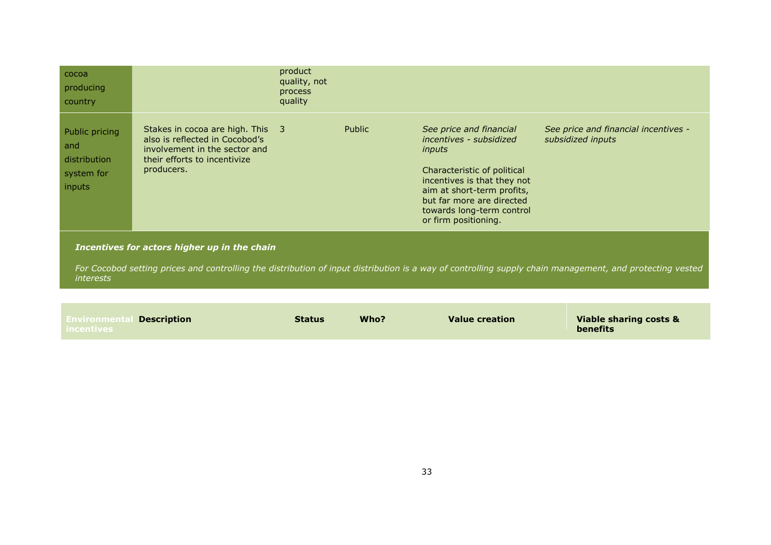| cocoa<br>producing<br>country                                 |                                                                                                                                                   | product<br>quality, not<br>process<br>quality |               |                                                                                                                                                                                                                                            |                                                           |
|---------------------------------------------------------------|---------------------------------------------------------------------------------------------------------------------------------------------------|-----------------------------------------------|---------------|--------------------------------------------------------------------------------------------------------------------------------------------------------------------------------------------------------------------------------------------|-----------------------------------------------------------|
| Public pricing<br>and<br>distribution<br>system for<br>inputs | Stakes in cocoa are high. This 3<br>also is reflected in Cocobod's<br>involvement in the sector and<br>their efforts to incentivize<br>producers. |                                               | <b>Public</b> | See price and financial<br>incentives - subsidized<br>inputs<br>Characteristic of political<br>incentives is that they not<br>aim at short-term profits,<br>but far more are directed<br>towards long-term control<br>or firm positioning. | See price and financial incentives -<br>subsidized inputs |
|                                                               | Incentives for actors higher up in the chain                                                                                                      |                                               |               |                                                                                                                                                                                                                                            |                                                           |

*For Cocobod setting prices and controlling the distribution of input distribution is a way of controlling supply chain management, and protecting vested interests*

#### **Environmental Description Description Status Who? Value creation Viable sharing costs & benefits**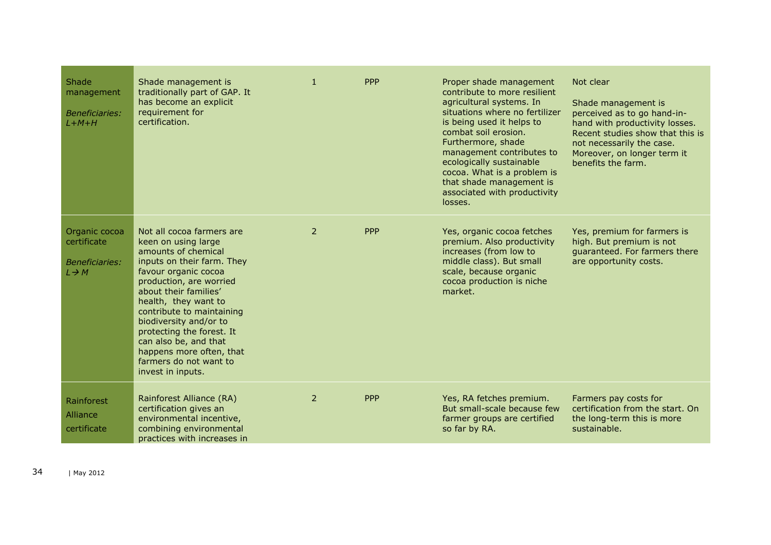| Shade<br>management<br><b>Beneficiaries:</b><br>$L+M+H$                    | Shade management is<br>traditionally part of GAP. It<br>has become an explicit<br>requirement for<br>certification.                                                                                                                                                                                                                                                                               | $\mathbf{1}$   | <b>PPP</b> | Proper shade management<br>contribute to more resilient<br>agricultural systems. In<br>situations where no fertilizer<br>is being used it helps to<br>combat soil erosion.<br>Furthermore, shade<br>management contributes to<br>ecologically sustainable<br>cocoa. What is a problem is<br>that shade management is<br>associated with productivity<br>losses. | Not clear<br>Shade management is<br>perceived as to go hand-in-<br>hand with productivity losses.<br>Recent studies show that this is<br>not necessarily the case.<br>Moreover, on longer term it<br>benefits the farm. |
|----------------------------------------------------------------------------|---------------------------------------------------------------------------------------------------------------------------------------------------------------------------------------------------------------------------------------------------------------------------------------------------------------------------------------------------------------------------------------------------|----------------|------------|-----------------------------------------------------------------------------------------------------------------------------------------------------------------------------------------------------------------------------------------------------------------------------------------------------------------------------------------------------------------|-------------------------------------------------------------------------------------------------------------------------------------------------------------------------------------------------------------------------|
| Organic cocoa<br>certificate<br><b>Beneficiaries:</b><br>$L \rightarrow M$ | Not all cocoa farmers are<br>keen on using large<br>amounts of chemical<br>inputs on their farm. They<br>favour organic cocoa<br>production, are worried<br>about their families'<br>health, they want to<br>contribute to maintaining<br>biodiversity and/or to<br>protecting the forest. It<br>can also be, and that<br>happens more often, that<br>farmers do not want to<br>invest in inputs. | $\overline{2}$ | <b>PPP</b> | Yes, organic cocoa fetches<br>premium. Also productivity<br>increases (from low to<br>middle class). But small<br>scale, because organic<br>cocoa production is niche<br>market.                                                                                                                                                                                | Yes, premium for farmers is<br>high. But premium is not<br>quaranteed. For farmers there<br>are opportunity costs.                                                                                                      |
| Rainforest<br>Alliance<br>certificate                                      | Rainforest Alliance (RA)<br>certification gives an<br>environmental incentive,<br>combining environmental<br>practices with increases in                                                                                                                                                                                                                                                          | $\mathcal{P}$  | <b>PPP</b> | Yes, RA fetches premium.<br>But small-scale because few<br>farmer groups are certified<br>so far by RA.                                                                                                                                                                                                                                                         | Farmers pay costs for<br>certification from the start. On<br>the long-term this is more<br>sustainable.                                                                                                                 |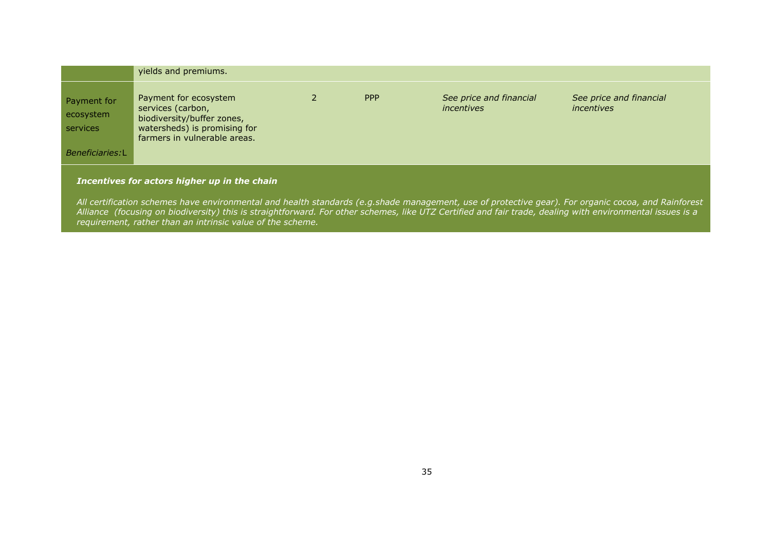|                                                         | yields and premiums.                                                                                                                     |     |                                       |                                       |
|---------------------------------------------------------|------------------------------------------------------------------------------------------------------------------------------------------|-----|---------------------------------------|---------------------------------------|
| Payment for<br>ecosystem<br>services<br>Beneficiaries:L | Payment for ecosystem<br>services (carbon,<br>biodiversity/buffer zones,<br>watersheds) is promising for<br>farmers in vulnerable areas. | PPP | See price and financial<br>incentives | See price and financial<br>incentives |
|                                                         |                                                                                                                                          |     |                                       |                                       |

#### *Incentives for actors higher up in the chain*

*All certification schemes have environmental and health standards (e.g.shade management, use of protective gear). For organic cocoa, and Rainforest Alliance (focusing on biodiversity) this is straightforward. For other schemes, like UTZ Certified and fair trade, dealing with environmental issues is a requirement, rather than an intrinsic value of the scheme.*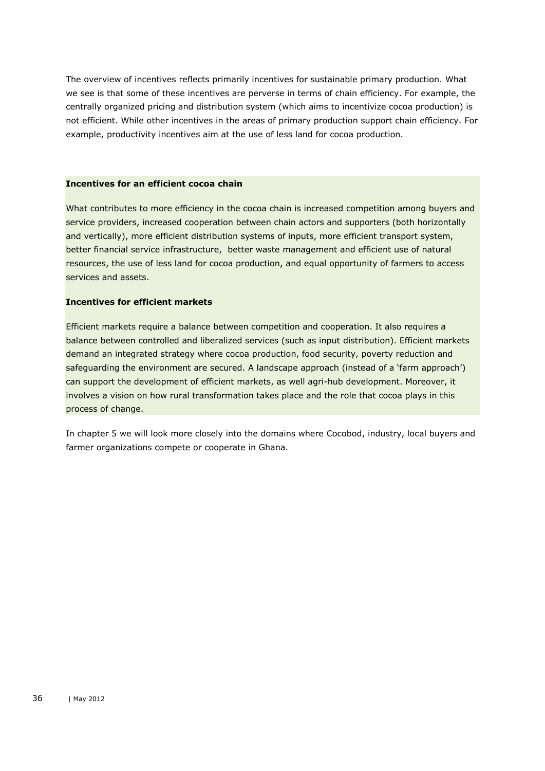The overview of incentives reflects primarily incentives for sustainable primary production. What we see is that some of these incentives are perverse in terms of chain efficiency. For example, the centrally organized pricing and distribution system (which aims to incentivize cocoa production) is not efficient. While other incentives in the areas of primary production support chain efficiency. For example, productivity incentives aim at the use of less land for cocoa production.

#### **Incentives for an efficient cocoa chain**

What contributes to more efficiency in the cocoa chain is increased competition among buyers and service providers, increased cooperation between chain actors and supporters (both horizontally and vertically), more efficient distribution systems of inputs, more efficient transport system, better financial service infrastructure, better waste management and efficient use of natural resources, the use of less land for cocoa production, and equal opportunity of farmers to access services and assets.

#### **Incentives for efficient markets**

Efficient markets require a balance between competition and cooperation. It also requires a balance between controlled and liberalized services (such as input distribution). Efficient markets demand an integrated strategy where cocoa production, food security, poverty reduction and safeguarding the environment are secured. A landscape approach (instead of a 'farm approach') can support the development of efficient markets, as well agri-hub development. Moreover, it involves a vision on how rural transformation takes place and the role that cocoa plays in this process of change.

In chapter 5 we will look more closely into the domains where Cocobod, industry, local buyers and farmer organizations compete or cooperate in Ghana.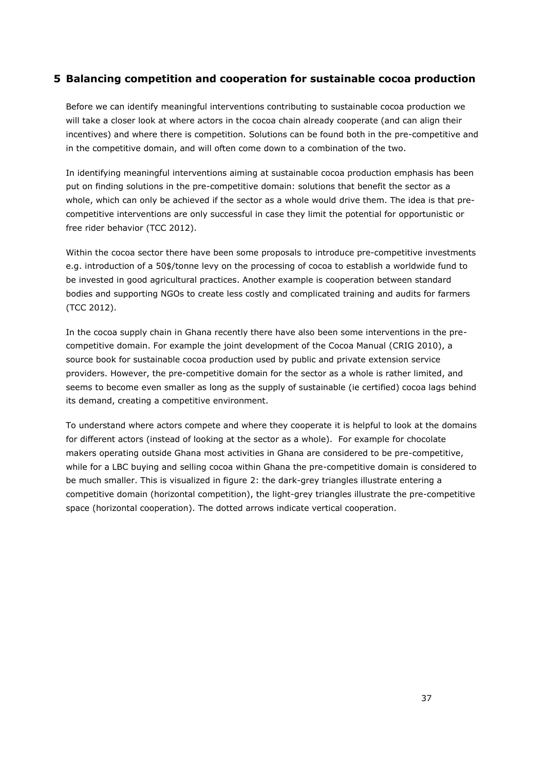## <span id="page-36-0"></span>**5 Balancing competition and cooperation for sustainable cocoa production**

Before we can identify meaningful interventions contributing to sustainable cocoa production we will take a closer look at where actors in the cocoa chain already cooperate (and can align their incentives) and where there is competition. Solutions can be found both in the pre-competitive and in the competitive domain, and will often come down to a combination of the two.

In identifying meaningful interventions aiming at sustainable cocoa production emphasis has been put on finding solutions in the pre-competitive domain: solutions that benefit the sector as a whole, which can only be achieved if the sector as a whole would drive them. The idea is that precompetitive interventions are only successful in case they limit the potential for opportunistic or free rider behavior (TCC 2012).

Within the cocoa sector there have been some proposals to introduce pre-competitive investments e.g. introduction of a 50\$/tonne levy on the processing of cocoa to establish a worldwide fund to be invested in good agricultural practices. Another example is cooperation between standard bodies and supporting NGOs to create less costly and complicated training and audits for farmers (TCC 2012).

In the cocoa supply chain in Ghana recently there have also been some interventions in the precompetitive domain. For example the joint development of the Cocoa Manual (CRIG 2010), a source book for sustainable cocoa production used by public and private extension service providers. However, the pre-competitive domain for the sector as a whole is rather limited, and seems to become even smaller as long as the supply of sustainable (ie certified) cocoa lags behind its demand, creating a competitive environment.

To understand where actors compete and where they cooperate it is helpful to look at the domains for different actors (instead of looking at the sector as a whole). For example for chocolate makers operating outside Ghana most activities in Ghana are considered to be pre-competitive, while for a LBC buying and selling cocoa within Ghana the pre-competitive domain is considered to be much smaller. This is visualized in figure 2: the dark-grey triangles illustrate entering a competitive domain (horizontal competition), the light-grey triangles illustrate the pre-competitive space (horizontal cooperation). The dotted arrows indicate vertical cooperation.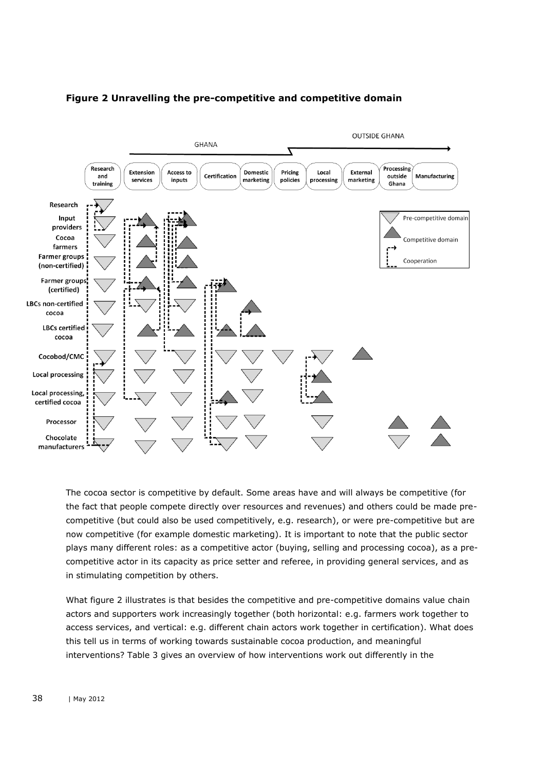

## **Figure 2 Unravelling the pre-competitive and competitive domain**

The cocoa sector is competitive by default. Some areas have and will always be competitive (for the fact that people compete directly over resources and revenues) and others could be made precompetitive (but could also be used competitively, e.g. research), or were pre-competitive but are now competitive (for example domestic marketing). It is important to note that the public sector plays many different roles: as a competitive actor (buying, selling and processing cocoa), as a precompetitive actor in its capacity as price setter and referee, in providing general services, and as in stimulating competition by others.

What figure 2 illustrates is that besides the competitive and pre-competitive domains value chain actors and supporters work increasingly together (both horizontal: e.g. farmers work together to access services, and vertical: e.g. different chain actors work together in certification). What does this tell us in terms of working towards sustainable cocoa production, and meaningful interventions? Table 3 gives an overview of how interventions work out differently in the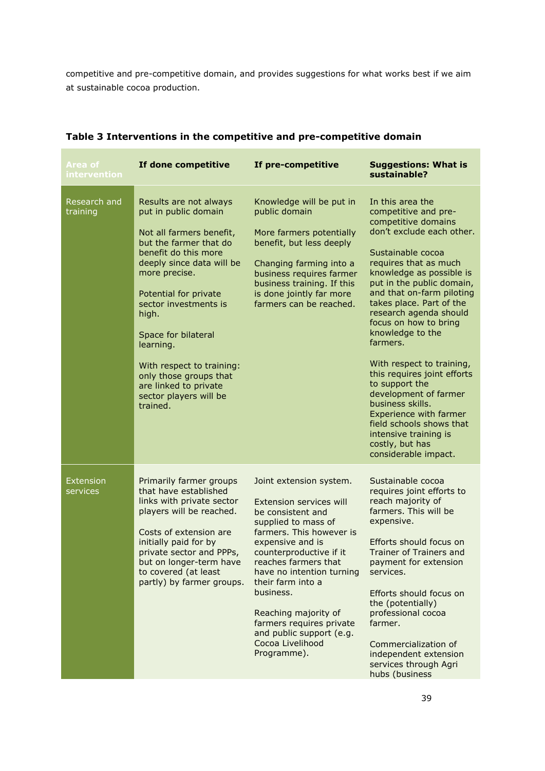competitive and pre-competitive domain, and provides suggestions for what works best if we aim at sustainable cocoa production.

| Area of<br>intervention      | If done competitive                                                                                                                                                                                                                                                                                                                                                                             | If pre-competitive                                                                                                                                                                                                                                                                                                                                                                  | <b>Suggestions: What is</b><br>sustainable?                                                                                                                                                                                                                                                                                                                                                                                                                                                                                                                                                                 |
|------------------------------|-------------------------------------------------------------------------------------------------------------------------------------------------------------------------------------------------------------------------------------------------------------------------------------------------------------------------------------------------------------------------------------------------|-------------------------------------------------------------------------------------------------------------------------------------------------------------------------------------------------------------------------------------------------------------------------------------------------------------------------------------------------------------------------------------|-------------------------------------------------------------------------------------------------------------------------------------------------------------------------------------------------------------------------------------------------------------------------------------------------------------------------------------------------------------------------------------------------------------------------------------------------------------------------------------------------------------------------------------------------------------------------------------------------------------|
| Research and<br>training     | Results are not always<br>put in public domain<br>Not all farmers benefit,<br>but the farmer that do<br>benefit do this more<br>deeply since data will be<br>more precise.<br>Potential for private<br>sector investments is<br>high.<br>Space for bilateral<br>learning.<br>With respect to training:<br>only those groups that<br>are linked to private<br>sector players will be<br>trained. | Knowledge will be put in<br>public domain<br>More farmers potentially<br>benefit, but less deeply<br>Changing farming into a<br>business requires farmer<br>business training. If this<br>is done jointly far more<br>farmers can be reached.                                                                                                                                       | In this area the<br>competitive and pre-<br>competitive domains<br>don't exclude each other.<br>Sustainable cocoa<br>requires that as much<br>knowledge as possible is<br>put in the public domain,<br>and that on-farm piloting<br>takes place. Part of the<br>research agenda should<br>focus on how to bring<br>knowledge to the<br>farmers.<br>With respect to training,<br>this requires joint efforts<br>to support the<br>development of farmer<br>business skills.<br><b>Experience with farmer</b><br>field schools shows that<br>intensive training is<br>costly, but has<br>considerable impact. |
| <b>Extension</b><br>services | Primarily farmer groups<br>that have established<br>links with private sector<br>players will be reached.<br>Costs of extension are<br>initially paid for by<br>private sector and PPPs,<br>but on longer-term have<br>to covered (at least<br>partly) by farmer groups.                                                                                                                        | Joint extension system.<br>Extension services will<br>be consistent and<br>supplied to mass of<br>farmers. This however is<br>expensive and is<br>counterproductive if it<br>reaches farmers that<br>have no intention turning<br>their farm into a<br>business.<br>Reaching majority of<br>farmers requires private<br>and public support (e.g.<br>Cocoa Livelihood<br>Programme). | Sustainable cocoa<br>requires joint efforts to<br>reach majority of<br>farmers. This will be<br>expensive.<br>Efforts should focus on<br>Trainer of Trainers and<br>payment for extension<br>services.<br>Efforts should focus on<br>the (potentially)<br>professional cocoa<br>farmer.<br>Commercialization of<br>independent extension<br>services through Agri<br>hubs (business                                                                                                                                                                                                                         |

## **Table 3 Interventions in the competitive and pre-competitive domain**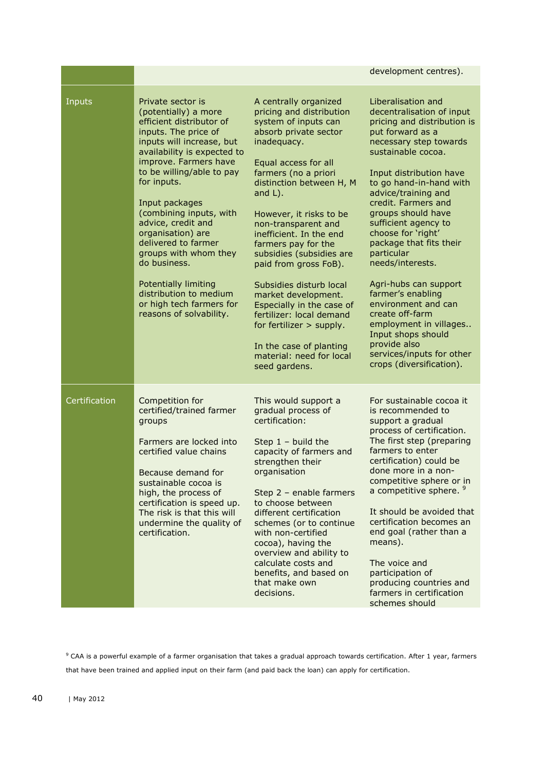|               |                                                                                                                                                                                                                                                                                                                                                                                                                                                                                                        |                                                                                                                                                                                                                                                                                                                                                                                                                                                                                                                                                                                     | development centres).                                                                                                                                                                                                                                                                                                                                                                                                                                                                                                                                                                                    |
|---------------|--------------------------------------------------------------------------------------------------------------------------------------------------------------------------------------------------------------------------------------------------------------------------------------------------------------------------------------------------------------------------------------------------------------------------------------------------------------------------------------------------------|-------------------------------------------------------------------------------------------------------------------------------------------------------------------------------------------------------------------------------------------------------------------------------------------------------------------------------------------------------------------------------------------------------------------------------------------------------------------------------------------------------------------------------------------------------------------------------------|----------------------------------------------------------------------------------------------------------------------------------------------------------------------------------------------------------------------------------------------------------------------------------------------------------------------------------------------------------------------------------------------------------------------------------------------------------------------------------------------------------------------------------------------------------------------------------------------------------|
| Inputs        | Private sector is<br>(potentially) a more<br>efficient distributor of<br>inputs. The price of<br>inputs will increase, but<br>availability is expected to<br>improve. Farmers have<br>to be willing/able to pay<br>for inputs.<br>Input packages<br>(combining inputs, with<br>advice, credit and<br>organisation) are<br>delivered to farmer<br>groups with whom they<br>do business.<br><b>Potentially limiting</b><br>distribution to medium<br>or high tech farmers for<br>reasons of solvability. | A centrally organized<br>pricing and distribution<br>system of inputs can<br>absorb private sector<br>inadequacy.<br>Equal access for all<br>farmers (no a priori<br>distinction between H, M<br>and $L$ ).<br>However, it risks to be<br>non-transparent and<br>inefficient. In the end<br>farmers pay for the<br>subsidies (subsidies are<br>paid from gross FoB).<br>Subsidies disturb local<br>market development.<br>Especially in the case of<br>fertilizer: local demand<br>for fertilizer > supply.<br>In the case of planting<br>material: need for local<br>seed gardens. | Liberalisation and<br>decentralisation of input<br>pricing and distribution is<br>put forward as a<br>necessary step towards<br>sustainable cocoa.<br>Input distribution have<br>to go hand-in-hand with<br>advice/training and<br>credit. Farmers and<br>groups should have<br>sufficient agency to<br>choose for 'right'<br>package that fits their<br>particular<br>needs/interests.<br>Agri-hubs can support<br>farmer's enabling<br>environment and can<br>create off-farm<br>employment in villages<br>Input shops should<br>provide also<br>services/inputs for other<br>crops (diversification). |
| Certification | Competition for<br>certified/trained farmer<br>groups<br>Farmers are locked into<br>certified value chains<br>Because demand for<br>sustainable cocoa is<br>high, the process of<br>certification is speed up.<br>The risk is that this will<br>undermine the quality of<br>certification.                                                                                                                                                                                                             | This would support a<br>gradual process of<br>certification:<br>Step $1 -$ build the<br>capacity of farmers and<br>strengthen their<br>organisation<br>Step 2 - enable farmers<br>to choose between<br>different certification<br>schemes (or to continue<br>with non-certified<br>cocoa), having the<br>overview and ability to<br>calculate costs and<br>benefits, and based on<br>that make own<br>decisions.                                                                                                                                                                    | For sustainable cocoa it<br>is recommended to<br>support a gradual<br>process of certification.<br>The first step (preparing<br>farmers to enter<br>certification) could be<br>done more in a non-<br>competitive sphere or in<br>a competitive sphere. <sup>9</sup><br>It should be avoided that<br>certification becomes an<br>end goal (rather than a<br>means).<br>The voice and<br>participation of<br>producing countries and<br>farmers in certification<br>schemes should                                                                                                                        |

<sup>9</sup> CAA is a powerful example of a farmer organisation that takes a gradual approach towards certification. After 1 year, farmers that have been trained and applied input on their farm (and paid back the loan) can apply for certification.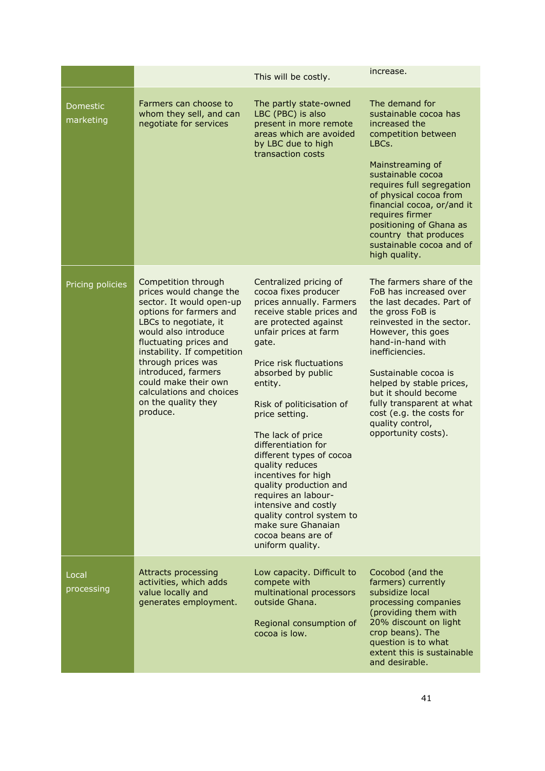|                       |                                                                                                                                                                                                                                                                                                                                                     | This will be costly.                                                                                                                                                                                                                                                                                                                                                                                                                                                                                                                                                  | increase.                                                                                                                                                                                                                                                                                                                                                                      |
|-----------------------|-----------------------------------------------------------------------------------------------------------------------------------------------------------------------------------------------------------------------------------------------------------------------------------------------------------------------------------------------------|-----------------------------------------------------------------------------------------------------------------------------------------------------------------------------------------------------------------------------------------------------------------------------------------------------------------------------------------------------------------------------------------------------------------------------------------------------------------------------------------------------------------------------------------------------------------------|--------------------------------------------------------------------------------------------------------------------------------------------------------------------------------------------------------------------------------------------------------------------------------------------------------------------------------------------------------------------------------|
| Domestic<br>marketing | Farmers can choose to<br>whom they sell, and can<br>negotiate for services                                                                                                                                                                                                                                                                          | The partly state-owned<br>LBC (PBC) is also<br>present in more remote<br>areas which are avoided<br>by LBC due to high<br>transaction costs                                                                                                                                                                                                                                                                                                                                                                                                                           | The demand for<br>sustainable cocoa has<br>increased the<br>competition between<br>LBCs.<br>Mainstreaming of<br>sustainable cocoa<br>requires full segregation<br>of physical cocoa from<br>financial cocoa, or/and it<br>requires firmer<br>positioning of Ghana as<br>country that produces<br>sustainable cocoa and of<br>high quality.                                     |
| Pricing policies      | Competition through<br>prices would change the<br>sector. It would open-up<br>options for farmers and<br>LBCs to negotiate, it<br>would also introduce<br>fluctuating prices and<br>instability. If competition<br>through prices was<br>introduced, farmers<br>could make their own<br>calculations and choices<br>on the quality they<br>produce. | Centralized pricing of<br>cocoa fixes producer<br>prices annually. Farmers<br>receive stable prices and<br>are protected against<br>unfair prices at farm<br>gate.<br>Price risk fluctuations<br>absorbed by public<br>entity.<br>Risk of politicisation of<br>price setting.<br>The lack of price<br>differentiation for<br>different types of cocoa<br>quality reduces<br>incentives for high<br>quality production and<br>requires an labour-<br>intensive and costly<br>quality control system to<br>make sure Ghanaian<br>cocoa beans are of<br>uniform quality. | The farmers share of the<br>FoB has increased over<br>the last decades. Part of<br>the gross FoB is<br>reinvested in the sector.<br>However, this goes<br>hand-in-hand with<br>inefficiencies.<br>Sustainable cocoa is<br>helped by stable prices,<br>but it should become<br>fully transparent at what<br>cost (e.g. the costs for<br>quality control,<br>opportunity costs). |
| Local<br>processing   | <b>Attracts processing</b><br>activities, which adds<br>value locally and<br>generates employment.                                                                                                                                                                                                                                                  | Low capacity. Difficult to<br>compete with<br>multinational processors<br>outside Ghana.<br>Regional consumption of<br>cocoa is low.                                                                                                                                                                                                                                                                                                                                                                                                                                  | Cocobod (and the<br>farmers) currently<br>subsidize local<br>processing companies<br>(providing them with<br>20% discount on light<br>crop beans). The<br>question is to what<br>extent this is sustainable<br>and desirable.                                                                                                                                                  |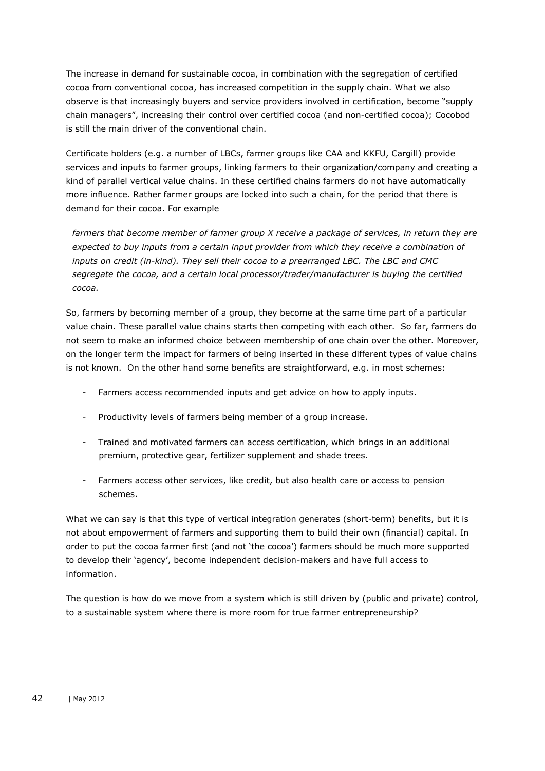The increase in demand for sustainable cocoa, in combination with the segregation of certified cocoa from conventional cocoa, has increased competition in the supply chain. What we also observe is that increasingly buyers and service providers involved in certification, become "supply chain managers", increasing their control over certified cocoa (and non-certified cocoa); Cocobod is still the main driver of the conventional chain.

Certificate holders (e.g. a number of LBCs, farmer groups like CAA and KKFU, Cargill) provide services and inputs to farmer groups, linking farmers to their organization/company and creating a kind of parallel vertical value chains. In these certified chains farmers do not have automatically more influence. Rather farmer groups are locked into such a chain, for the period that there is demand for their cocoa. For example

*farmers that become member of farmer group X receive a package of services, in return they are expected to buy inputs from a certain input provider from which they receive a combination of inputs on credit (in-kind). They sell their cocoa to a prearranged LBC. The LBC and CMC segregate the cocoa, and a certain local processor/trader/manufacturer is buying the certified cocoa.* 

So, farmers by becoming member of a group, they become at the same time part of a particular value chain. These parallel value chains starts then competing with each other. So far, farmers do not seem to make an informed choice between membership of one chain over the other. Moreover, on the longer term the impact for farmers of being inserted in these different types of value chains is not known. On the other hand some benefits are straightforward, e.g. in most schemes:

- Farmers access recommended inputs and get advice on how to apply inputs.
- Productivity levels of farmers being member of a group increase.
- Trained and motivated farmers can access certification, which brings in an additional premium, protective gear, fertilizer supplement and shade trees.
- Farmers access other services, like credit, but also health care or access to pension schemes.

What we can say is that this type of vertical integration generates (short-term) benefits, but it is not about empowerment of farmers and supporting them to build their own (financial) capital. In order to put the cocoa farmer first (and not 'the cocoa') farmers should be much more supported to develop their 'agency', become independent decision-makers and have full access to information.

The question is how do we move from a system which is still driven by (public and private) control, to a sustainable system where there is more room for true farmer entrepreneurship?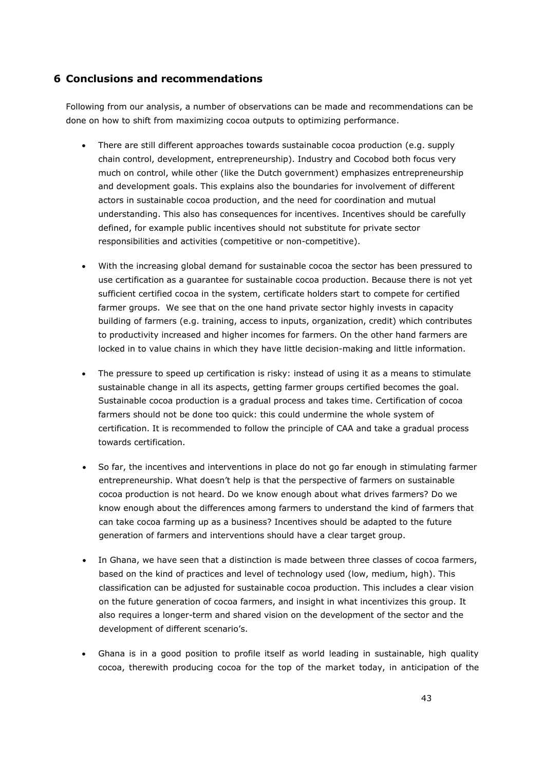## <span id="page-42-0"></span>**6 Conclusions and recommendations**

Following from our analysis, a number of observations can be made and recommendations can be done on how to shift from maximizing cocoa outputs to optimizing performance.

- There are still different approaches towards sustainable cocoa production (e.g. supply chain control, development, entrepreneurship). Industry and Cocobod both focus very much on control, while other (like the Dutch government) emphasizes entrepreneurship and development goals. This explains also the boundaries for involvement of different actors in sustainable cocoa production, and the need for coordination and mutual understanding. This also has consequences for incentives. Incentives should be carefully defined, for example public incentives should not substitute for private sector responsibilities and activities (competitive or non-competitive).
- With the increasing global demand for sustainable cocoa the sector has been pressured to use certification as a guarantee for sustainable cocoa production. Because there is not yet sufficient certified cocoa in the system, certificate holders start to compete for certified farmer groups. We see that on the one hand private sector highly invests in capacity building of farmers (e.g. training, access to inputs, organization, credit) which contributes to productivity increased and higher incomes for farmers. On the other hand farmers are locked in to value chains in which they have little decision-making and little information.
- The pressure to speed up certification is risky: instead of using it as a means to stimulate sustainable change in all its aspects, getting farmer groups certified becomes the goal. Sustainable cocoa production is a gradual process and takes time. Certification of cocoa farmers should not be done too quick: this could undermine the whole system of certification. It is recommended to follow the principle of CAA and take a gradual process towards certification.
- So far, the incentives and interventions in place do not go far enough in stimulating farmer entrepreneurship. What doesn't help is that the perspective of farmers on sustainable cocoa production is not heard. Do we know enough about what drives farmers? Do we know enough about the differences among farmers to understand the kind of farmers that can take cocoa farming up as a business? Incentives should be adapted to the future generation of farmers and interventions should have a clear target group.
- In Ghana, we have seen that a distinction is made between three classes of cocoa farmers, based on the kind of practices and level of technology used (low, medium, high). This classification can be adjusted for sustainable cocoa production. This includes a clear vision on the future generation of cocoa farmers, and insight in what incentivizes this group. It also requires a longer-term and shared vision on the development of the sector and the development of different scenario's.
- Ghana is in a good position to profile itself as world leading in sustainable, high quality cocoa, therewith producing cocoa for the top of the market today, in anticipation of the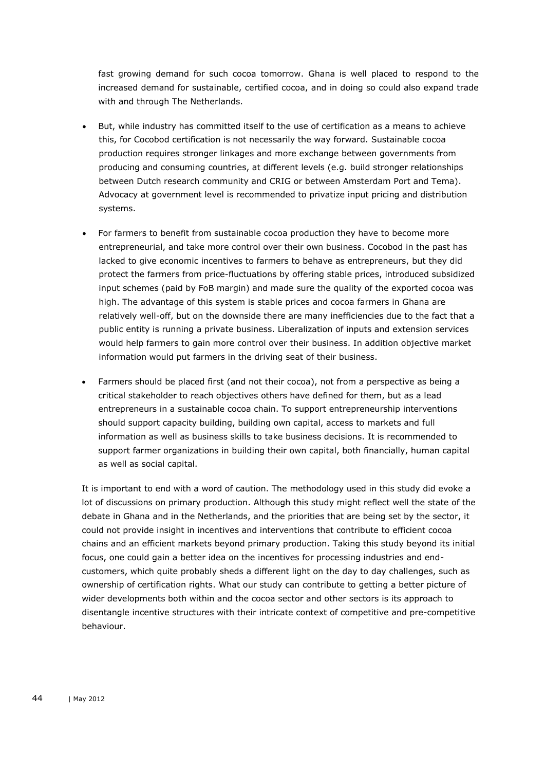fast growing demand for such cocoa tomorrow. Ghana is well placed to respond to the increased demand for sustainable, certified cocoa, and in doing so could also expand trade with and through The Netherlands.

- But, while industry has committed itself to the use of certification as a means to achieve this, for Cocobod certification is not necessarily the way forward. Sustainable cocoa production requires stronger linkages and more exchange between governments from producing and consuming countries, at different levels (e.g. build stronger relationships between Dutch research community and CRIG or between Amsterdam Port and Tema). Advocacy at government level is recommended to privatize input pricing and distribution systems.
- For farmers to benefit from sustainable cocoa production they have to become more entrepreneurial, and take more control over their own business. Cocobod in the past has lacked to give economic incentives to farmers to behave as entrepreneurs, but they did protect the farmers from price-fluctuations by offering stable prices, introduced subsidized input schemes (paid by FoB margin) and made sure the quality of the exported cocoa was high. The advantage of this system is stable prices and cocoa farmers in Ghana are relatively well-off, but on the downside there are many inefficiencies due to the fact that a public entity is running a private business. Liberalization of inputs and extension services would help farmers to gain more control over their business. In addition objective market information would put farmers in the driving seat of their business.
- Farmers should be placed first (and not their cocoa), not from a perspective as being a critical stakeholder to reach objectives others have defined for them, but as a lead entrepreneurs in a sustainable cocoa chain. To support entrepreneurship interventions should support capacity building, building own capital, access to markets and full information as well as business skills to take business decisions. It is recommended to support farmer organizations in building their own capital, both financially, human capital as well as social capital.

It is important to end with a word of caution. The methodology used in this study did evoke a lot of discussions on primary production. Although this study might reflect well the state of the debate in Ghana and in the Netherlands, and the priorities that are being set by the sector, it could not provide insight in incentives and interventions that contribute to efficient cocoa chains and an efficient markets beyond primary production. Taking this study beyond its initial focus, one could gain a better idea on the incentives for processing industries and endcustomers, which quite probably sheds a different light on the day to day challenges, such as ownership of certification rights. What our study can contribute to getting a better picture of wider developments both within and the cocoa sector and other sectors is its approach to disentangle incentive structures with their intricate context of competitive and pre-competitive behaviour.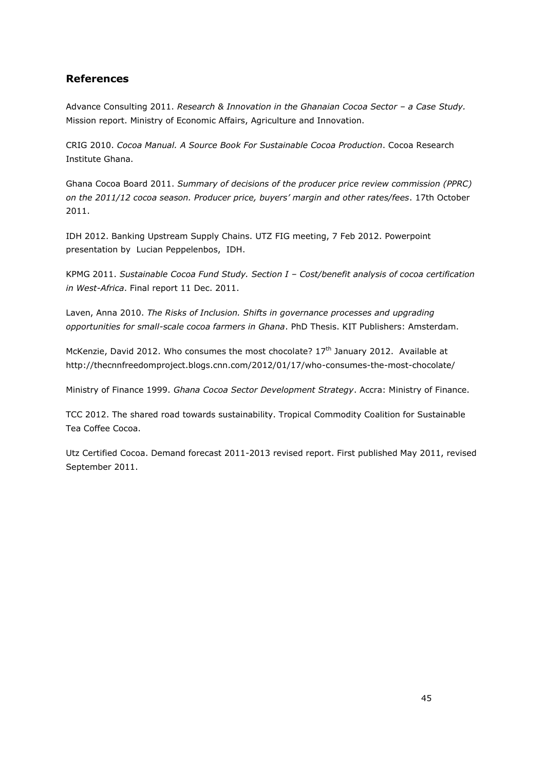## <span id="page-44-0"></span>**References**

Advance Consulting 2011. *Research & Innovation in the Ghanaian Cocoa Sector - a Case Study.* Mission report. Ministry of Economic Affairs, Agriculture and Innovation.

CRIG 2010. *Cocoa Manual. A Source Book For Sustainable Cocoa Production*. Cocoa Research Institute Ghana.

Ghana Cocoa Board 2011. *Summary of decisions of the producer price review commission (PPRC) on the 2011/12 cocoa season. Producer price, buyers' margin and other rates/fees*. 17th October 2011.

IDH 2012. Banking Upstream Supply Chains. UTZ FIG meeting, 7 Feb 2012. Powerpoint presentation by Lucian Peppelenbos, IDH.

KPMG 2011. *Sustainable Cocoa Fund Study. Section I – Cost/benefit analysis of cocoa certification in West-Africa*. Final report 11 Dec. 2011.

Laven, Anna 2010. *The Risks of Inclusion. Shifts in governance processes and upgrading opportunities for small-scale cocoa farmers in Ghana*. PhD Thesis. KIT Publishers: Amsterdam.

McKenzie, David 2012. Who consumes the most chocolate?  $17<sup>th</sup>$  January 2012. Available at http://thecnnfreedomproject.blogs.cnn.com/2012/01/17/who-consumes-the-most-chocolate/

Ministry of Finance 1999. *Ghana Cocoa Sector Development Strategy*. Accra: Ministry of Finance.

TCC 2012. The shared road towards sustainability. Tropical Commodity Coalition for Sustainable Tea Coffee Cocoa.

Utz Certified Cocoa. Demand forecast 2011-2013 revised report. First published May 2011, revised September 2011.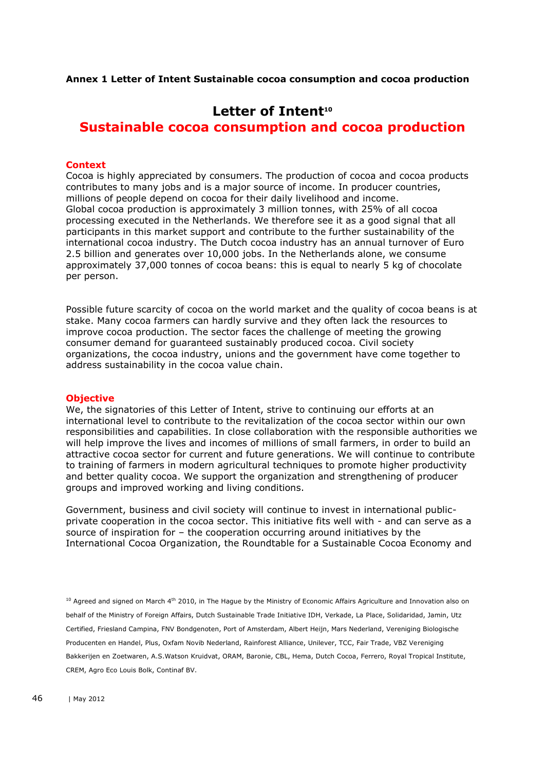**Annex 1 Letter of Intent Sustainable cocoa consumption and cocoa production**

# **Letter of Intent<sup>10</sup>**

**Sustainable cocoa consumption and cocoa production**

#### **Context**

Cocoa is highly appreciated by consumers. The production of cocoa and cocoa products contributes to many jobs and is a major source of income. In producer countries, millions of people depend on cocoa for their daily livelihood and income. Global cocoa production is approximately 3 million tonnes, with 25% of all cocoa processing executed in the Netherlands. We therefore see it as a good signal that all participants in this market support and contribute to the further sustainability of the international cocoa industry. The Dutch cocoa industry has an annual turnover of Euro 2.5 billion and generates over 10,000 jobs. In the Netherlands alone, we consume approximately 37,000 tonnes of cocoa beans: this is equal to nearly 5 kg of chocolate per person.

Possible future scarcity of cocoa on the world market and the quality of cocoa beans is at stake. Many cocoa farmers can hardly survive and they often lack the resources to improve cocoa production. The sector faces the challenge of meeting the growing consumer demand for guaranteed sustainably produced cocoa. Civil society organizations, the cocoa industry, unions and the government have come together to address sustainability in the cocoa value chain.

#### **Objective**

We, the signatories of this Letter of Intent, strive to continuing our efforts at an international level to contribute to the revitalization of the cocoa sector within our own responsibilities and capabilities. In close collaboration with the responsible authorities we will help improve the lives and incomes of millions of small farmers, in order to build an attractive cocoa sector for current and future generations. We will continue to contribute to training of farmers in modern agricultural techniques to promote higher productivity and better quality cocoa. We support the organization and strengthening of producer groups and improved working and living conditions.

Government, business and civil society will continue to invest in international publicprivate cooperation in the cocoa sector. This initiative fits well with - and can serve as a source of inspiration for – the cooperation occurring around initiatives by the International Cocoa Organization, the Roundtable for a Sustainable Cocoa Economy and

 $10$  Agreed and signed on March 4<sup>th</sup> 2010, in The Hague by the Ministry of Economic Affairs Agriculture and Innovation also on behalf of the Ministry of Foreign Affairs, Dutch Sustainable Trade Initiative IDH, Verkade, La Place, Solidaridad, Jamin, Utz Certified, Friesland Campina, FNV Bondgenoten, Port of Amsterdam, Albert Heijn, Mars Nederland, Vereniging Biologische Producenten en Handel, Plus, Oxfam Novib Nederland, Rainforest Alliance, Unilever, TCC, Fair Trade, VBZ Vereniging Bakkerijen en Zoetwaren, A.S.Watson Kruidvat, ORAM, Baronie, CBL, Hema, Dutch Cocoa, Ferrero, Royal Tropical Institute, CREM, Agro Eco Louis Bolk, Continaf BV.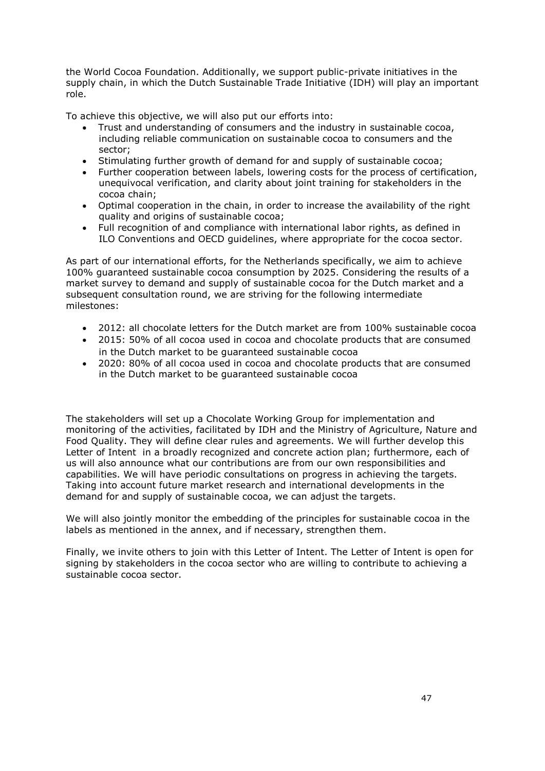the World Cocoa Foundation. Additionally, we support public-private initiatives in the supply chain, in which the Dutch Sustainable Trade Initiative (IDH) will play an important role.

To achieve this objective, we will also put our efforts into:

- Trust and understanding of consumers and the industry in sustainable cocoa, including reliable communication on sustainable cocoa to consumers and the sector;
- Stimulating further growth of demand for and supply of sustainable cocoa;
- Further cooperation between labels, lowering costs for the process of certification, unequivocal verification, and clarity about joint training for stakeholders in the cocoa chain;
- Optimal cooperation in the chain, in order to increase the availability of the right quality and origins of sustainable cocoa;
- Full recognition of and compliance with international labor rights, as defined in ILO Conventions and OECD guidelines, where appropriate for the cocoa sector.

As part of our international efforts, for the Netherlands specifically, we aim to achieve 100% guaranteed sustainable cocoa consumption by 2025. Considering the results of a market survey to demand and supply of sustainable cocoa for the Dutch market and a subsequent consultation round, we are striving for the following intermediate milestones:

- 2012: all chocolate letters for the Dutch market are from 100% sustainable cocoa
- 2015: 50% of all cocoa used in cocoa and chocolate products that are consumed in the Dutch market to be guaranteed sustainable cocoa
- 2020: 80% of all cocoa used in cocoa and chocolate products that are consumed in the Dutch market to be guaranteed sustainable cocoa

The stakeholders will set up a Chocolate Working Group for implementation and monitoring of the activities, facilitated by IDH and the Ministry of Agriculture, Nature and Food Quality. They will define clear rules and agreements. We will further develop this Letter of Intent in a broadly recognized and concrete action plan; furthermore, each of us will also announce what our contributions are from our own responsibilities and capabilities. We will have periodic consultations on progress in achieving the targets. Taking into account future market research and international developments in the demand for and supply of sustainable cocoa, we can adjust the targets.

We will also jointly monitor the embedding of the principles for sustainable cocoa in the labels as mentioned in the annex, and if necessary, strengthen them.

Finally, we invite others to join with this Letter of Intent. The Letter of Intent is open for signing by stakeholders in the cocoa sector who are willing to contribute to achieving a sustainable cocoa sector.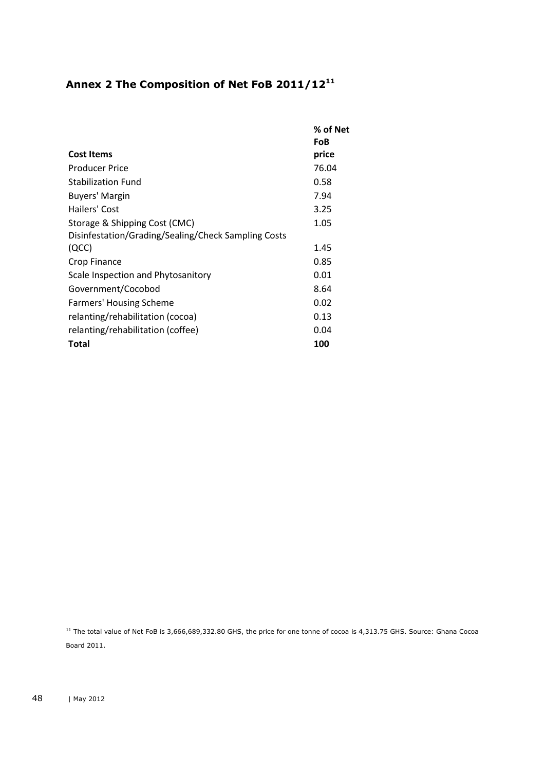# <span id="page-47-0"></span>**Annex 2 The Composition of Net FoB 2011/12<sup>11</sup>**

|                                                     | % of Net |
|-----------------------------------------------------|----------|
|                                                     | FoB      |
| <b>Cost Items</b>                                   | price    |
| Producer Price                                      | 76.04    |
| <b>Stabilization Fund</b>                           | 0.58     |
| Buyers' Margin                                      | 7.94     |
| Hailers' Cost                                       | 3.25     |
| Storage & Shipping Cost (CMC)                       | 1.05     |
| Disinfestation/Grading/Sealing/Check Sampling Costs |          |
| (QCC)                                               | 1.45     |
| Crop Finance                                        | 0.85     |
| Scale Inspection and Phytosanitory                  | 0.01     |
| Government/Cocobod                                  | 8.64     |
| <b>Farmers' Housing Scheme</b>                      | 0.02     |
| relanting/rehabilitation (cocoa)                    | 0.13     |
| relanting/rehabilitation (coffee)                   | 0.04     |
| <b>Total</b>                                        | 100      |

 $11$  The total value of Net FoB is 3,666,689,332.80 GHS, the price for one tonne of cocoa is 4,313.75 GHS. Source: Ghana Cocoa Board 2011.